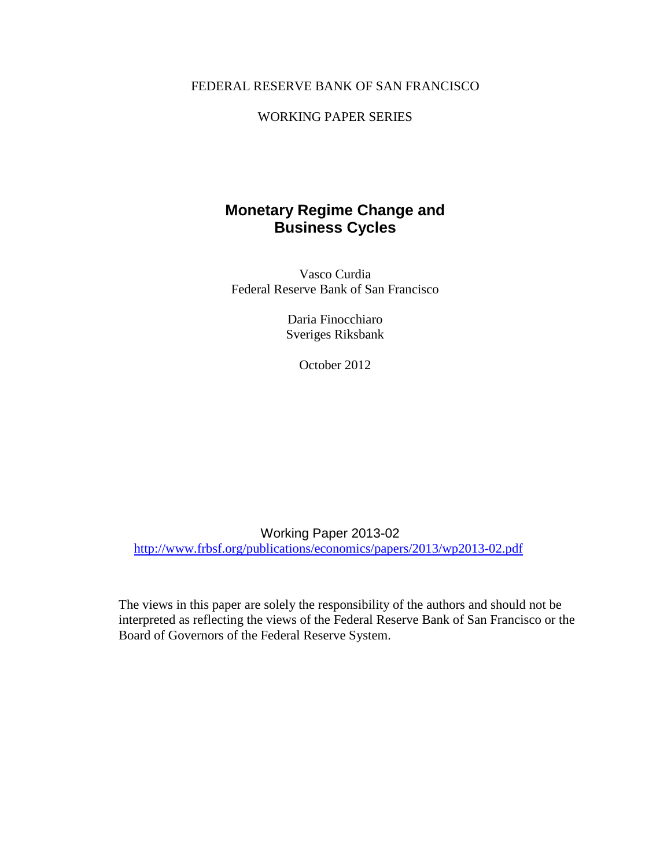### FEDERAL RESERVE BANK OF SAN FRANCISCO

### WORKING PAPER SERIES

## **Monetary Regime Change and Business Cycles**

Vasco Curdia Federal Reserve Bank of San Francisco

> Daria Finocchiaro Sveriges Riksbank

> > October 2012

Working Paper 2013-02 <http://www.frbsf.org/publications/economics/papers/2013/wp2013-02.pdf>

The views in this paper are solely the responsibility of the authors and should not be interpreted as reflecting the views of the Federal Reserve Bank of San Francisco or the Board of Governors of the Federal Reserve System.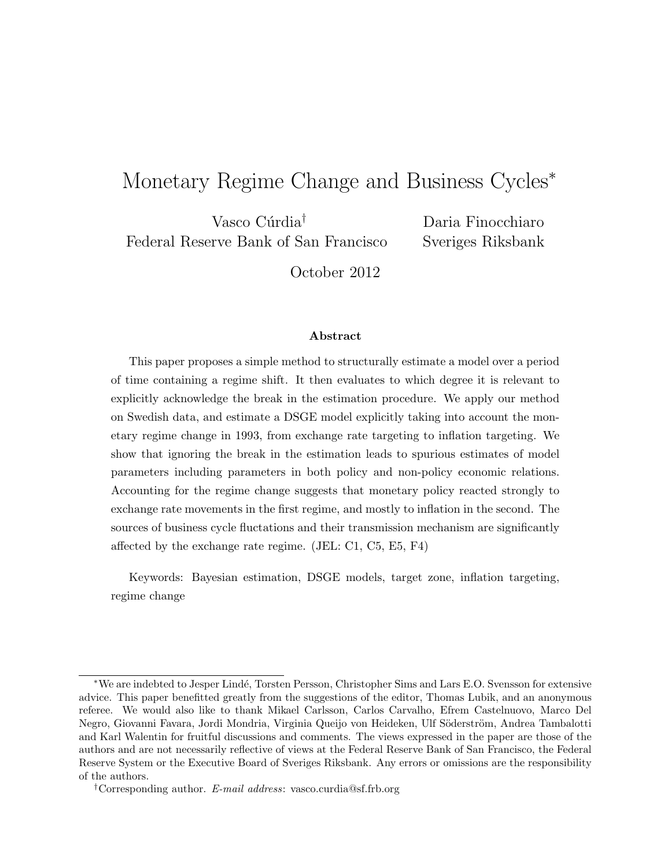Vasco Cúrdia<sup>†</sup> Federal Reserve Bank of San Francisco

Daria Finocchiaro Sveriges Riksbank

October 2012

#### Abstract

This paper proposes a simple method to structurally estimate a model over a period of time containing a regime shift. It then evaluates to which degree it is relevant to explicitly acknowledge the break in the estimation procedure. We apply our method on Swedish data, and estimate a DSGE model explicitly taking into account the monetary regime change in 1993, from exchange rate targeting to inflation targeting. We show that ignoring the break in the estimation leads to spurious estimates of model parameters including parameters in both policy and non-policy economic relations. Accounting for the regime change suggests that monetary policy reacted strongly to exchange rate movements in the first regime, and mostly to inflation in the second. The sources of business cycle fluctations and their transmission mechanism are significantly affected by the exchange rate regime. (JEL: C1, C5, E5, F4)

Keywords: Bayesian estimation, DSGE models, target zone, inflation targeting, regime change

<sup>∗</sup>We are indebted to Jesper Lind´e, Torsten Persson, Christopher Sims and Lars E.O. Svensson for extensive advice. This paper benefitted greatly from the suggestions of the editor, Thomas Lubik, and an anonymous referee. We would also like to thank Mikael Carlsson, Carlos Carvalho, Efrem Castelnuovo, Marco Del Negro, Giovanni Favara, Jordi Mondria, Virginia Queijo von Heideken, Ulf Söderström, Andrea Tambalotti and Karl Walentin for fruitful discussions and comments. The views expressed in the paper are those of the authors and are not necessarily reflective of views at the Federal Reserve Bank of San Francisco, the Federal Reserve System or the Executive Board of Sveriges Riksbank. Any errors or omissions are the responsibility of the authors.

<sup>†</sup>Corresponding author. E-mail address: vasco.curdia@sf.frb.org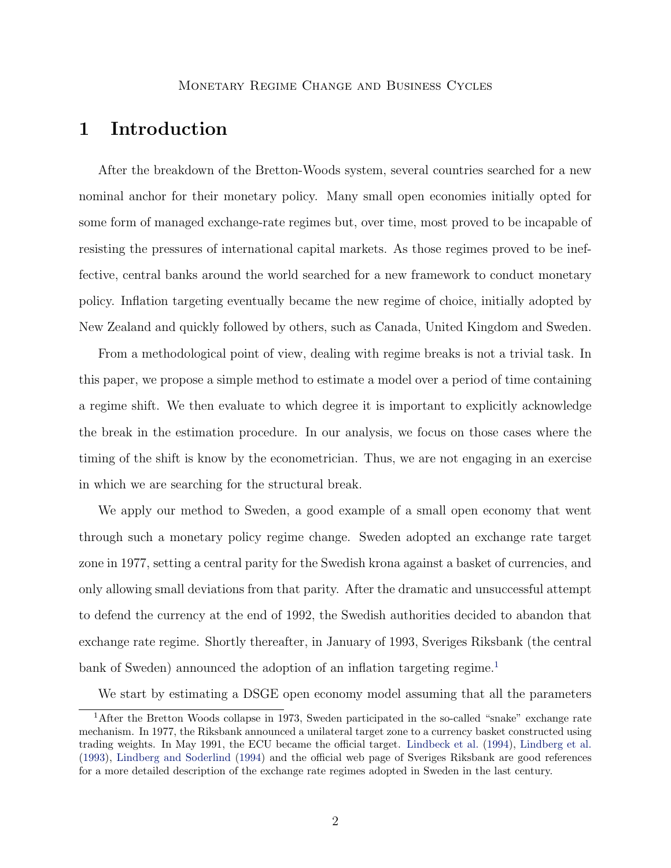## 1 Introduction

After the breakdown of the Bretton-Woods system, several countries searched for a new nominal anchor for their monetary policy. Many small open economies initially opted for some form of managed exchange-rate regimes but, over time, most proved to be incapable of resisting the pressures of international capital markets. As those regimes proved to be ineffective, central banks around the world searched for a new framework to conduct monetary policy. Inflation targeting eventually became the new regime of choice, initially adopted by New Zealand and quickly followed by others, such as Canada, United Kingdom and Sweden.

From a methodological point of view, dealing with regime breaks is not a trivial task. In this paper, we propose a simple method to estimate a model over a period of time containing a regime shift. We then evaluate to which degree it is important to explicitly acknowledge the break in the estimation procedure. In our analysis, we focus on those cases where the timing of the shift is know by the econometrician. Thus, we are not engaging in an exercise in which we are searching for the structural break.

We apply our method to Sweden, a good example of a small open economy that went through such a monetary policy regime change. Sweden adopted an exchange rate target zone in 1977, setting a central parity for the Swedish krona against a basket of currencies, and only allowing small deviations from that parity. After the dramatic and unsuccessful attempt to defend the currency at the end of 1992, the Swedish authorities decided to abandon that exchange rate regime. Shortly thereafter, in January of 1993, Sveriges Riksbank (the central bank of Sweden) announced the adoption of an inflation targeting regime.<sup>[1](#page-2-0)</sup>

<span id="page-2-0"></span>We start by estimating a DSGE open economy model assuming that all the parameters

<sup>&</sup>lt;sup>1</sup>After the Bretton Woods collapse in 1973, Sweden participated in the so-called "snake" exchange rate mechanism. In 1977, the Riksbank announced a unilateral target zone to a currency basket constructed using trading weights. In May 1991, the ECU became the official target. [Lindbeck et al.](#page-34-0) [\(1994\)](#page-34-0), [Lindberg et al.](#page-35-0) [\(1993\)](#page-35-0), [Lindberg and Soderlind](#page-35-1) [\(1994\)](#page-35-1) and the official web page of Sveriges Riksbank are good references for a more detailed description of the exchange rate regimes adopted in Sweden in the last century.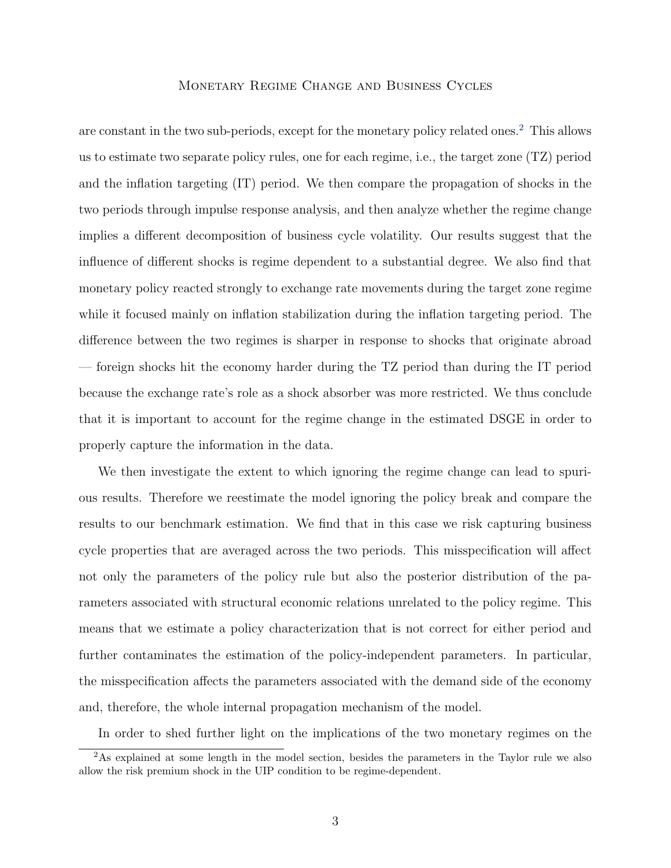are constant in the two sub-periods, except for the monetary policy related ones.<sup>[2](#page-3-0)</sup> This allows us to estimate two separate policy rules, one for each regime, i.e., the target zone (TZ) period and the inflation targeting (IT) period. We then compare the propagation of shocks in the two periods through impulse response analysis, and then analyze whether the regime change implies a different decomposition of business cycle volatility. Our results suggest that the influence of different shocks is regime dependent to a substantial degree. We also find that monetary policy reacted strongly to exchange rate movements during the target zone regime while it focused mainly on inflation stabilization during the inflation targeting period. The difference between the two regimes is sharper in response to shocks that originate abroad — foreign shocks hit the economy harder during the TZ period than during the IT period because the exchange rate's role as a shock absorber was more restricted. We thus conclude that it is important to account for the regime change in the estimated DSGE in order to properly capture the information in the data.

We then investigate the extent to which ignoring the regime change can lead to spurious results. Therefore we reestimate the model ignoring the policy break and compare the results to our benchmark estimation. We find that in this case we risk capturing business cycle properties that are averaged across the two periods. This misspecification will affect not only the parameters of the policy rule but also the posterior distribution of the parameters associated with structural economic relations unrelated to the policy regime. This means that we estimate a policy characterization that is not correct for either period and further contaminates the estimation of the policy-independent parameters. In particular, the misspecification affects the parameters associated with the demand side of the economy and, therefore, the whole internal propagation mechanism of the model.

<span id="page-3-0"></span>In order to shed further light on the implications of the two monetary regimes on the

<sup>2</sup>As explained at some length in the model section, besides the parameters in the Taylor rule we also allow the risk premium shock in the UIP condition to be regime-dependent.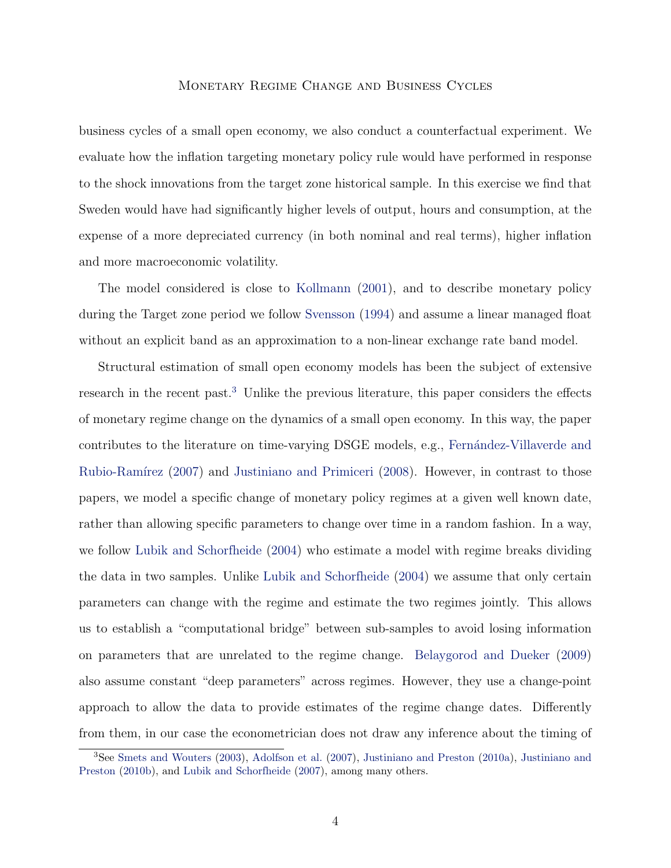business cycles of a small open economy, we also conduct a counterfactual experiment. We evaluate how the inflation targeting monetary policy rule would have performed in response to the shock innovations from the target zone historical sample. In this exercise we find that Sweden would have had significantly higher levels of output, hours and consumption, at the expense of a more depreciated currency (in both nominal and real terms), higher inflation and more macroeconomic volatility.

The model considered is close to [Kollmann](#page-34-1) [\(2001\)](#page-34-1), and to describe monetary policy during the Target zone period we follow [Svensson](#page-35-2) [\(1994\)](#page-35-2) and assume a linear managed float without an explicit band as an approximation to a non-linear exchange rate band model.

Structural estimation of small open economy models has been the subject of extensive research in the recent past.<sup>[3](#page-4-0)</sup> Unlike the previous literature, this paper considers the effects of monetary regime change on the dynamics of a small open economy. In this way, the paper contributes to the literature on time-varying DSGE models, e.g., Fernandez-Villaverde and Rubio-Ramírez [\(2007\)](#page-33-0) and [Justiniano and Primiceri](#page-34-2) [\(2008\)](#page-34-2). However, in contrast to those papers, we model a specific change of monetary policy regimes at a given well known date, rather than allowing specific parameters to change over time in a random fashion. In a way, we follow [Lubik and Schorfheide](#page-35-3) [\(2004\)](#page-35-3) who estimate a model with regime breaks dividing the data in two samples. Unlike [Lubik and Schorfheide](#page-35-3) [\(2004\)](#page-35-3) we assume that only certain parameters can change with the regime and estimate the two regimes jointly. This allows us to establish a "computational bridge" between sub-samples to avoid losing information on parameters that are unrelated to the regime change. [Belaygorod and Dueker](#page-33-1) [\(2009\)](#page-33-1) also assume constant "deep parameters" across regimes. However, they use a change-point approach to allow the data to provide estimates of the regime change dates. Differently from them, in our case the econometrician does not draw any inference about the timing of

<span id="page-4-0"></span><sup>3</sup>See [Smets and Wouters](#page-35-4) [\(2003\)](#page-35-4), [Adolfson et al.](#page-33-2) [\(2007\)](#page-33-2), [Justiniano and Preston](#page-34-3) [\(2010a\)](#page-34-3), [Justiniano and](#page-34-4) [Preston](#page-34-4) [\(2010b\)](#page-34-4), and [Lubik and Schorfheide](#page-35-5) [\(2007\)](#page-35-5), among many others.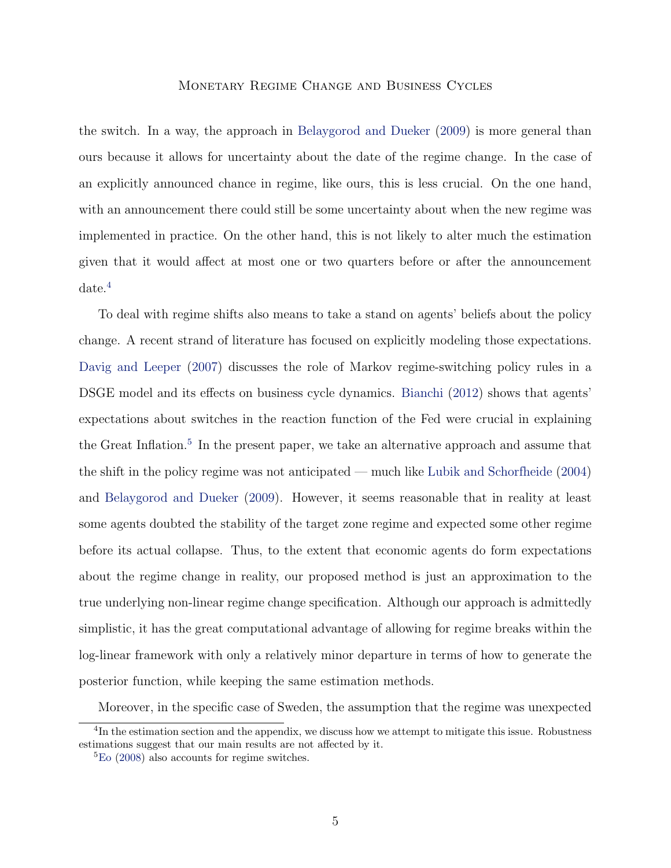the switch. In a way, the approach in [Belaygorod and Dueker](#page-33-1) [\(2009\)](#page-33-1) is more general than ours because it allows for uncertainty about the date of the regime change. In the case of an explicitly announced chance in regime, like ours, this is less crucial. On the one hand, with an announcement there could still be some uncertainty about when the new regime was implemented in practice. On the other hand, this is not likely to alter much the estimation given that it would affect at most one or two quarters before or after the announcement date.[4](#page-5-0)

To deal with regime shifts also means to take a stand on agents' beliefs about the policy change. A recent strand of literature has focused on explicitly modeling those expectations. [Davig and Leeper](#page-33-3) [\(2007\)](#page-33-3) discusses the role of Markov regime-switching policy rules in a DSGE model and its effects on business cycle dynamics. [Bianchi](#page-33-4) [\(2012\)](#page-33-4) shows that agents' expectations about switches in the reaction function of the Fed were crucial in explaining the Great Inflation.<sup>[5](#page-5-1)</sup> In the present paper, we take an alternative approach and assume that the shift in the policy regime was not anticipated — much like [Lubik and Schorfheide](#page-35-3) [\(2004\)](#page-35-3) and [Belaygorod and Dueker](#page-33-1) [\(2009\)](#page-33-1). However, it seems reasonable that in reality at least some agents doubted the stability of the target zone regime and expected some other regime before its actual collapse. Thus, to the extent that economic agents do form expectations about the regime change in reality, our proposed method is just an approximation to the true underlying non-linear regime change specification. Although our approach is admittedly simplistic, it has the great computational advantage of allowing for regime breaks within the log-linear framework with only a relatively minor departure in terms of how to generate the posterior function, while keeping the same estimation methods.

<span id="page-5-0"></span>Moreover, in the specific case of Sweden, the assumption that the regime was unexpected

<sup>&</sup>lt;sup>4</sup>In the estimation section and the appendix, we discuss how we attempt to mitigate this issue. Robustness estimations suggest that our main results are not affected by it.

<span id="page-5-1"></span> ${}^{5}$ [Eo](#page-33-5) [\(2008\)](#page-33-5) also accounts for regime switches.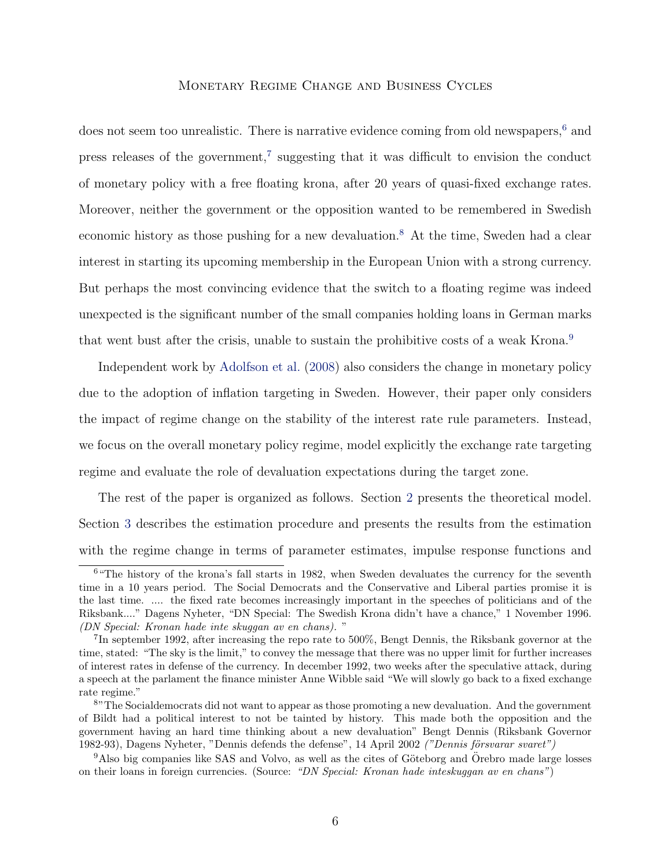does not seem too unrealistic. There is narrative evidence coming from old newspapers,  $6$  and press releases of the government,<sup>[7](#page-6-1)</sup> suggesting that it was difficult to envision the conduct of monetary policy with a free floating krona, after 20 years of quasi-fixed exchange rates. Moreover, neither the government or the opposition wanted to be remembered in Swedish economic history as those pushing for a new devaluation.<sup>[8](#page-6-2)</sup> At the time, Sweden had a clear interest in starting its upcoming membership in the European Union with a strong currency. But perhaps the most convincing evidence that the switch to a floating regime was indeed unexpected is the significant number of the small companies holding loans in German marks that went bust after the crisis, unable to sustain the prohibitive costs of a weak Krona.<sup>[9](#page-6-3)</sup>

Independent work by [Adolfson et al.](#page-33-6) [\(2008\)](#page-33-6) also considers the change in monetary policy due to the adoption of inflation targeting in Sweden. However, their paper only considers the impact of regime change on the stability of the interest rate rule parameters. Instead, we focus on the overall monetary policy regime, model explicitly the exchange rate targeting regime and evaluate the role of devaluation expectations during the target zone.

The rest of the paper is organized as follows. Section [2](#page-7-0) presents the theoretical model. Section [3](#page-15-0) describes the estimation procedure and presents the results from the estimation with the regime change in terms of parameter estimates, impulse response functions and

<span id="page-6-0"></span><sup>&</sup>lt;sup>6</sup> "The history of the krona's fall starts in 1982, when Sweden devaluates the currency for the seventh time in a 10 years period. The Social Democrats and the Conservative and Liberal parties promise it is the last time. .... the fixed rate becomes increasingly important in the speeches of politicians and of the Riksbank...." Dagens Nyheter, "DN Special: The Swedish Krona didn't have a chance," 1 November 1996. (DN Special: Kronan hade inte skuggan av en chans). "

<span id="page-6-1"></span><sup>7</sup> In september 1992, after increasing the repo rate to 500%, Bengt Dennis, the Riksbank governor at the time, stated: "The sky is the limit," to convey the message that there was no upper limit for further increases of interest rates in defense of the currency. In december 1992, two weeks after the speculative attack, during a speech at the parlament the finance minister Anne Wibble said "We will slowly go back to a fixed exchange rate regime."

<span id="page-6-2"></span><sup>&</sup>lt;sup>8"</sup>The Socialdemocrats did not want to appear as those promoting a new devaluation. And the government of Bildt had a political interest to not be tainted by history. This made both the opposition and the government having an hard time thinking about a new devaluation" Bengt Dennis (Riksbank Governor 1982-93), Dagens Nyheter, "Dennis defends the defense", 14 April 2002 ("Dennis försvarar svaret")

<span id="page-6-3"></span> $9$ Also big companies like SAS and Volvo, as well as the cites of Göteborg and Örebro made large losses on their loans in foreign currencies. (Source: "DN Special: Kronan hade inteskuggan av en chans")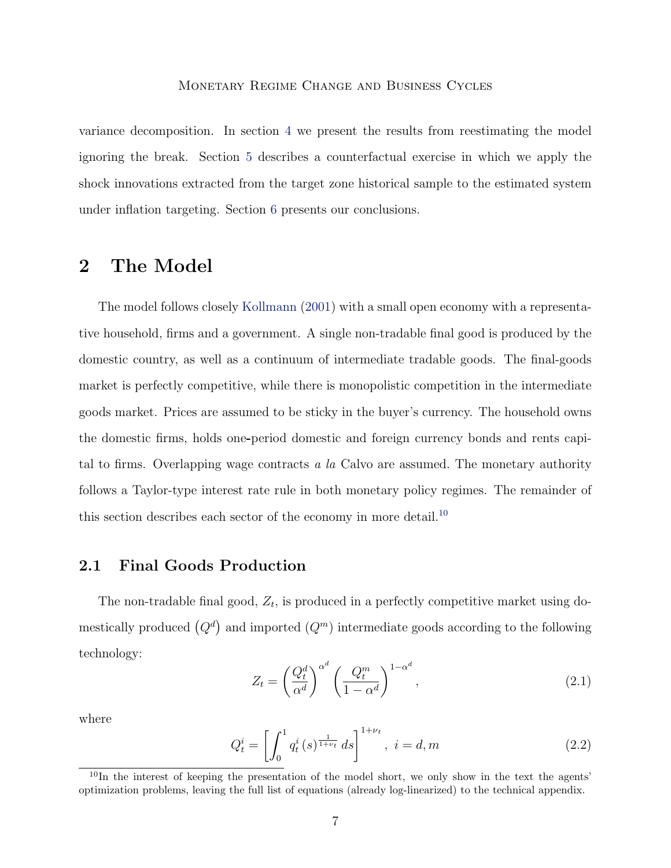variance decomposition. In section [4](#page-25-0) we present the results from reestimating the model ignoring the break. Section [5](#page-31-0) describes a counterfactual exercise in which we apply the shock innovations extracted from the target zone historical sample to the estimated system under inflation targeting. Section [6](#page-32-0) presents our conclusions.

## <span id="page-7-0"></span>2 The Model

The model follows closely [Kollmann](#page-34-1) [\(2001\)](#page-34-1) with a small open economy with a representative household, firms and a government. A single non-tradable final good is produced by the domestic country, as well as a continuum of intermediate tradable goods. The final-goods market is perfectly competitive, while there is monopolistic competition in the intermediate goods market. Prices are assumed to be sticky in the buyer's currency. The household owns the domestic firms, holds one-period domestic and foreign currency bonds and rents capital to firms. Overlapping wage contracts a la Calvo are assumed. The monetary authority follows a Taylor-type interest rate rule in both monetary policy regimes. The remainder of this section describes each sector of the economy in more detail.<sup>[10](#page-7-1)</sup>

### 2.1 Final Goods Production

The non-tradable final good,  $Z_t$ , is produced in a perfectly competitive market using domestically produced  $(Q<sup>d</sup>)$  and imported  $(Q<sup>m</sup>)$  intermediate goods according to the following technology:

$$
Z_t = \left(\frac{Q_t^d}{\alpha^d}\right)^{\alpha^d} \left(\frac{Q_t^m}{1 - \alpha^d}\right)^{1 - \alpha^d},\tag{2.1}
$$

where

$$
Q_t^i = \left[ \int_0^1 q_t^i(s)^{\frac{1}{1+\nu_t}} ds \right]^{1+\nu_t}, \ i = d, m \tag{2.2}
$$

<span id="page-7-1"></span><sup>&</sup>lt;sup>10</sup>In the interest of keeping the presentation of the model short, we only show in the text the agents' optimization problems, leaving the full list of equations (already log-linearized) to the technical appendix.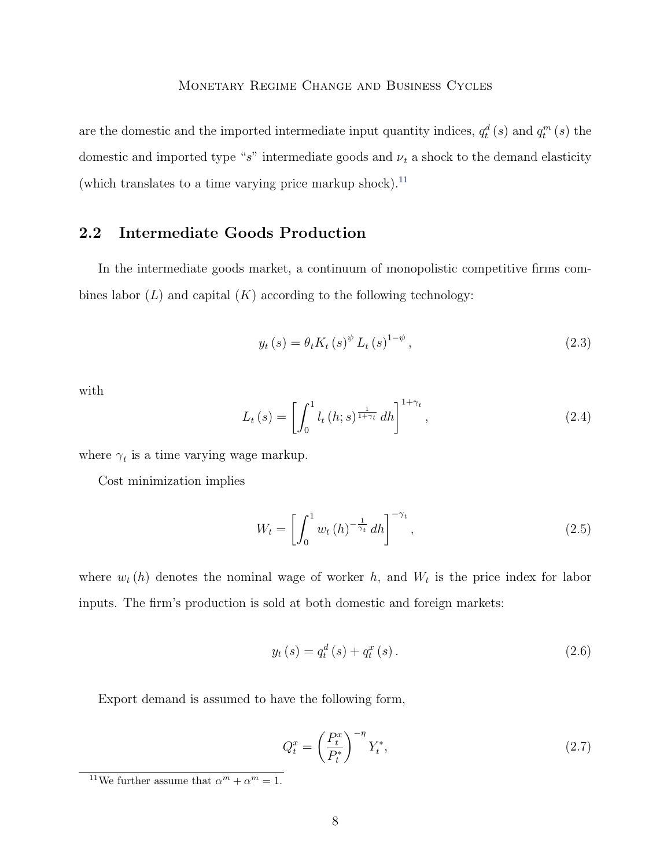are the domestic and the imported intermediate input quantity indices,  $q_t^d(s)$  and  $q_t^m(s)$  the domestic and imported type "s" intermediate goods and  $\nu_t$  a shock to the demand elasticity (which translates to a time varying price markup shock).<sup>[11](#page-8-0)</sup>

### 2.2 Intermediate Goods Production

In the intermediate goods market, a continuum of monopolistic competitive firms combines labor  $(L)$  and capital  $(K)$  according to the following technology:

$$
y_t (s) = \theta_t K_t (s)^{\psi} L_t (s)^{1 - \psi}, \qquad (2.3)
$$

with

$$
L_t(s) = \left[ \int_0^1 l_t(h; s)^{\frac{1}{1+\gamma_t}} dh \right]^{1+\gamma_t}, \qquad (2.4)
$$

where  $\gamma_t$  is a time varying wage markup.

Cost minimization implies

$$
W_t = \left[ \int_0^1 w_t \left( h \right)^{-\frac{1}{\gamma_t}} dh \right]^{-\gamma_t}, \tag{2.5}
$$

where  $w_t(h)$  denotes the nominal wage of worker h, and  $W_t$  is the price index for labor inputs. The firm's production is sold at both domestic and foreign markets:

$$
y_t(s) = q_t^d(s) + q_t^x(s).
$$
 (2.6)

Export demand is assumed to have the following form,

$$
Q_t^x = \left(\frac{P_t^x}{P_t^*}\right)^{-\eta} Y_t^*,\tag{2.7}
$$

<span id="page-8-0"></span><sup>&</sup>lt;sup>11</sup>We further assume that  $\alpha^m + \alpha^m = 1$ .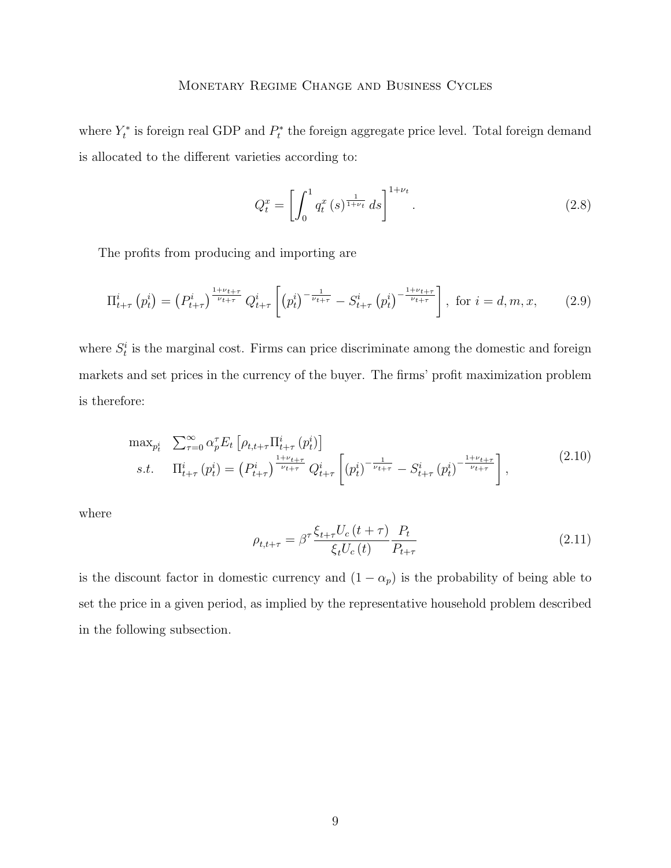where  $Y_t^*$  is foreign real GDP and  $P_t^*$  the foreign aggregate price level. Total foreign demand is allocated to the different varieties according to:

$$
Q_t^x = \left[ \int_0^1 q_t^x (s)^{\frac{1}{1+\nu_t}} ds \right]^{1+\nu_t} . \tag{2.8}
$$

The profits from producing and importing are

$$
\Pi_{t+\tau}^{i}\left(p_{t}^{i}\right) = \left(P_{t+\tau}^{i}\right)^{\frac{1+\nu_{t+\tau}}{\nu_{t+\tau}}} Q_{t+\tau}^{i}\left[\left(p_{t}^{i}\right)^{-\frac{1}{\nu_{t+\tau}}} - S_{t+\tau}^{i}\left(p_{t}^{i}\right)^{-\frac{1+\nu_{t+\tau}}{\nu_{t+\tau}}}\right], \text{ for } i = d, m, x,
$$
\n(2.9)

where  $S_t^i$  is the marginal cost. Firms can price discriminate among the domestic and foreign markets and set prices in the currency of the buyer. The firms' profit maximization problem is therefore:

$$
\max_{p_t^i} \sum_{\tau=0}^{\infty} \alpha_p^{\tau} E_t \left[ \rho_{t,t+\tau} \Pi_{t+\tau}^i (p_t^i) \right]
$$
  
s.t. 
$$
\Pi_{t+\tau}^i (p_t^i) = \left( P_{t+\tau}^i \right)^{\frac{1+\nu_{t+\tau}}{\nu_{t+\tau}}} Q_{t+\tau}^i \left[ \left( p_t^i \right)^{-\frac{1}{\nu_{t+\tau}}} - S_{t+\tau}^i (p_t^i)^{-\frac{1+\nu_{t+\tau}}{\nu_{t+\tau}}} \right],
$$
 (2.10)

where

$$
\rho_{t,t+\tau} = \beta^{\tau} \frac{\xi_{t+\tau} U_c (t+\tau)}{\xi_t U_c (t)} \frac{P_t}{P_{t+\tau}}
$$
\n(2.11)

is the discount factor in domestic currency and  $(1 - \alpha_p)$  is the probability of being able to set the price in a given period, as implied by the representative household problem described in the following subsection.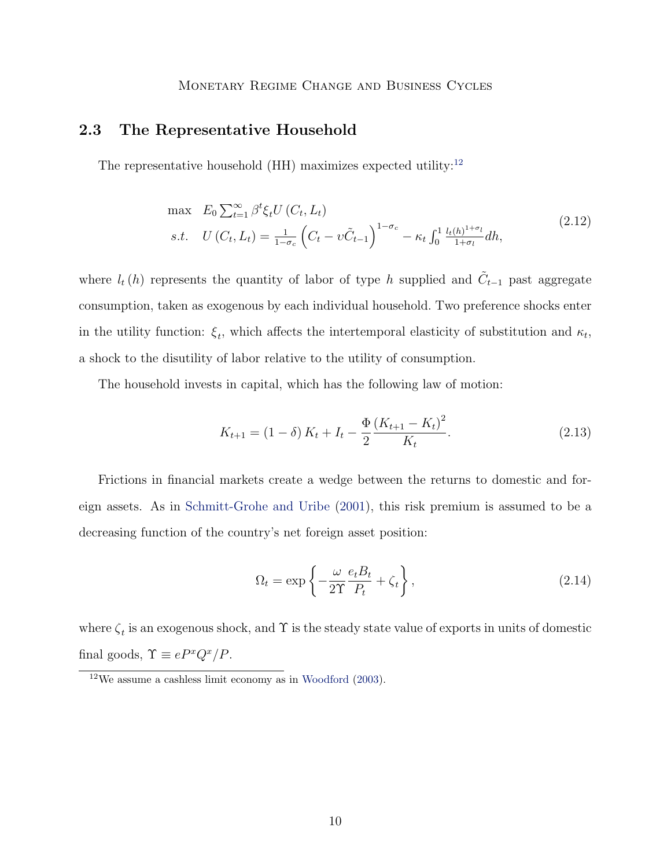### 2.3 The Representative Household

The representative household (HH) maximizes expected utility: $12$ 

$$
\max \quad E_0 \sum_{t=1}^{\infty} \beta^t \xi_t U(C_t, L_t) \\
s.t. \quad U(C_t, L_t) = \frac{1}{1 - \sigma_c} \left( C_t - v \tilde{C}_{t-1} \right)^{1 - \sigma_c} - \kappa_t \int_0^1 \frac{l_t(h)^{1 + \sigma_l}}{1 + \sigma_l} dh,
$$
\n(2.12)

where  $l_t(h)$  represents the quantity of labor of type h supplied and  $\tilde{C}_{t-1}$  past aggregate consumption, taken as exogenous by each individual household. Two preference shocks enter in the utility function:  $\xi_t$ , which affects the intertemporal elasticity of substitution and  $\kappa_t$ , a shock to the disutility of labor relative to the utility of consumption.

The household invests in capital, which has the following law of motion:

$$
K_{t+1} = (1 - \delta) K_t + I_t - \frac{\Phi}{2} \frac{(K_{t+1} - K_t)^2}{K_t}.
$$
\n(2.13)

Frictions in financial markets create a wedge between the returns to domestic and foreign assets. As in [Schmitt-Grohe and Uribe](#page-35-6) [\(2001\)](#page-35-6), this risk premium is assumed to be a decreasing function of the country's net foreign asset position:

$$
\Omega_t = \exp\left\{-\frac{\omega}{2\Upsilon}\frac{e_t B_t}{P_t} + \zeta_t\right\},\tag{2.14}
$$

where  $\zeta_t$  is an exogenous shock, and  $\Upsilon$  is the steady state value of exports in units of domestic final goods,  $\Upsilon \equiv eP^{x}Q^{x}/P$ .

<span id="page-10-0"></span> $12$ We assume a cashless limit economy as in [Woodford](#page-35-7) [\(2003\)](#page-35-7).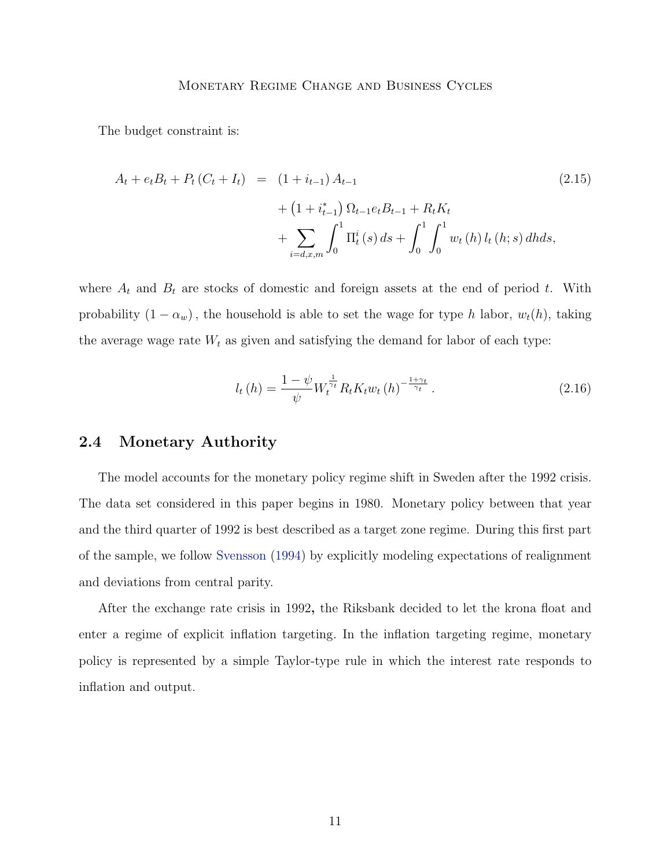The budget constraint is:

$$
A_{t} + e_{t}B_{t} + P_{t}(C_{t} + I_{t}) = (1 + i_{t-1}) A_{t-1}
$$
\n
$$
+ (1 + i_{t-1}^{*}) \Omega_{t-1} e_{t} B_{t-1} + R_{t} K_{t}
$$
\n
$$
+ \sum_{i=d,x,m} \int_{0}^{1} \Pi_{t}^{i}(s) ds + \int_{0}^{1} \int_{0}^{1} w_{t}(h) l_{t}(h; s) dh ds,
$$
\n(2.15)

where  $A_t$  and  $B_t$  are stocks of domestic and foreign assets at the end of period t. With probability  $(1 - \alpha_w)$ , the household is able to set the wage for type h labor,  $w_t(h)$ , taking the average wage rate  $W_t$  as given and satisfying the demand for labor of each type:

$$
l_{t}(h) = \frac{1 - \psi}{\psi} W_{t}^{\frac{1}{\gamma_{t}}} R_{t} K_{t} w_{t}(h)^{-\frac{1 + \gamma_{t}}{\gamma_{t}}}.
$$
\n(2.16)

### 2.4 Monetary Authority

The model accounts for the monetary policy regime shift in Sweden after the 1992 crisis. The data set considered in this paper begins in 1980. Monetary policy between that year and the third quarter of 1992 is best described as a target zone regime. During this first part of the sample, we follow [Svensson](#page-35-2) [\(1994\)](#page-35-2) by explicitly modeling expectations of realignment and deviations from central parity.

After the exchange rate crisis in 1992, the Riksbank decided to let the krona float and enter a regime of explicit inflation targeting. In the inflation targeting regime, monetary policy is represented by a simple Taylor-type rule in which the interest rate responds to inflation and output.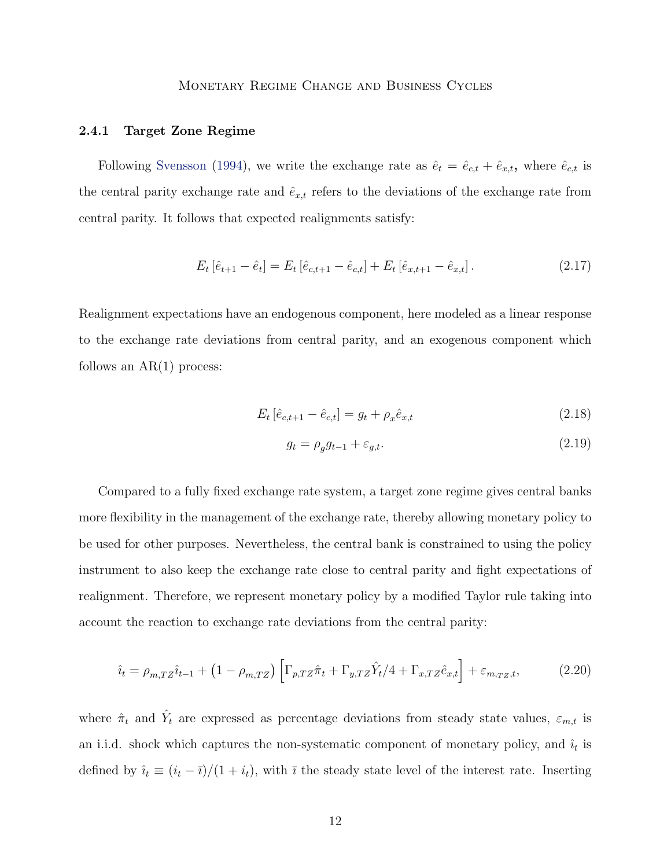#### 2.4.1 Target Zone Regime

Following [Svensson](#page-35-2) [\(1994\)](#page-35-2), we write the exchange rate as  $\hat{e}_t = \hat{e}_{c,t} + \hat{e}_{x,t}$ , where  $\hat{e}_{c,t}$  is the central parity exchange rate and  $\hat{e}_{x,t}$  refers to the deviations of the exchange rate from central parity. It follows that expected realignments satisfy:

<span id="page-12-1"></span>
$$
E_t\left[\hat{e}_{t+1} - \hat{e}_t\right] = E_t\left[\hat{e}_{c,t+1} - \hat{e}_{c,t}\right] + E_t\left[\hat{e}_{x,t+1} - \hat{e}_{x,t}\right].\tag{2.17}
$$

Realignment expectations have an endogenous component, here modeled as a linear response to the exchange rate deviations from central parity, and an exogenous component which follows an  $AR(1)$  process:

$$
E_t\left[\hat{e}_{c,t+1} - \hat{e}_{c,t}\right] = g_t + \rho_x \hat{e}_{x,t} \tag{2.18}
$$

<span id="page-12-0"></span>
$$
g_t = \rho_g g_{t-1} + \varepsilon_{g,t}.\tag{2.19}
$$

Compared to a fully fixed exchange rate system, a target zone regime gives central banks more flexibility in the management of the exchange rate, thereby allowing monetary policy to be used for other purposes. Nevertheless, the central bank is constrained to using the policy instrument to also keep the exchange rate close to central parity and fight expectations of realignment. Therefore, we represent monetary policy by a modified Taylor rule taking into account the reaction to exchange rate deviations from the central parity:

<span id="page-12-2"></span>
$$
\hat{u}_t = \rho_{m,TZ}\hat{u}_{t-1} + \left(1 - \rho_{m,TZ}\right) \left[\Gamma_{p,TZ}\hat{\pi}_t + \Gamma_{y,TZ}\hat{Y}_t/4 + \Gamma_{x,TZ}\hat{e}_{x,t}\right] + \varepsilon_{m,TZ,t},\tag{2.20}
$$

where  $\hat{\pi}_t$  and  $\hat{Y}_t$  are expressed as percentage deviations from steady state values,  $\varepsilon_{m,t}$  is an i.i.d. shock which captures the non-systematic component of monetary policy, and  $\hat{i}_t$  is defined by  $\hat{i}_t \equiv (i_t - \bar{i})/(1 + i_t)$ , with  $\bar{i}$  the steady state level of the interest rate. Inserting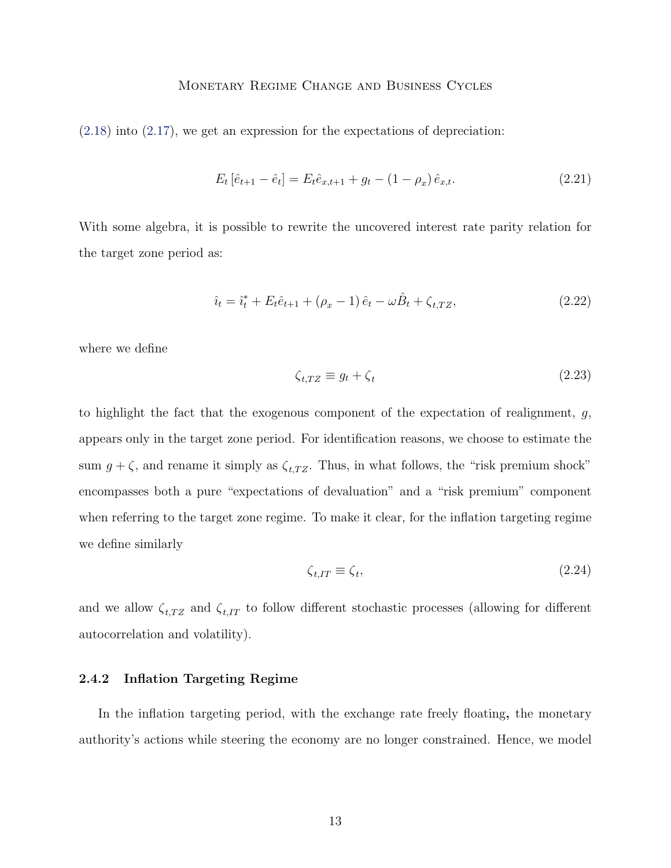$(2.18)$  into  $(2.17)$ , we get an expression for the expectations of depreciation:

$$
E_t\left[\hat{e}_{t+1} - \hat{e}_t\right] = E_t\hat{e}_{x,t+1} + g_t - (1 - \rho_x)\hat{e}_{x,t}.
$$
\n(2.21)

With some algebra, it is possible to rewrite the uncovered interest rate parity relation for the target zone period as:

$$
\hat{u}_t = \hat{u}_t^* + E_t \hat{e}_{t+1} + (\rho_x - 1) \hat{e}_t - \omega \hat{B}_t + \zeta_{t, TZ},
$$
\n(2.22)

where we define

$$
\zeta_{t,TZ} \equiv g_t + \zeta_t \tag{2.23}
$$

to highlight the fact that the exogenous component of the expectation of realignment, g, appears only in the target zone period. For identification reasons, we choose to estimate the sum  $g + \zeta$ , and rename it simply as  $\zeta_{t,TZ}$ . Thus, in what follows, the "risk premium shock" encompasses both a pure "expectations of devaluation" and a "risk premium" component when referring to the target zone regime. To make it clear, for the inflation targeting regime we define similarly

$$
\zeta_{t,IT} \equiv \zeta_t,\tag{2.24}
$$

and we allow  $\zeta_{t,TZ}$  and  $\zeta_{t,IT}$  to follow different stochastic processes (allowing for different autocorrelation and volatility).

#### 2.4.2 Inflation Targeting Regime

In the inflation targeting period, with the exchange rate freely floating, the monetary authority's actions while steering the economy are no longer constrained. Hence, we model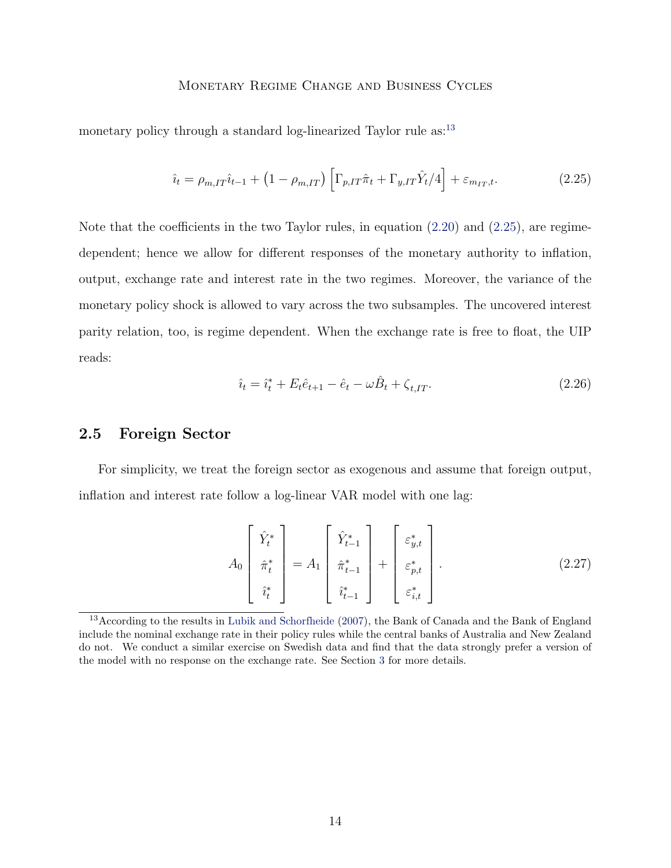monetary policy through a standard log-linearized Taylor rule as:<sup>[13](#page-14-0)</sup>

<span id="page-14-1"></span>
$$
\hat{u}_t = \rho_{m,IT}\hat{u}_{t-1} + \left(1 - \rho_{m,IT}\right) \left[\Gamma_{p,IT}\hat{\pi}_t + \Gamma_{y,IT}\hat{Y}_t/4\right] + \varepsilon_{m_{IT},t}.\tag{2.25}
$$

Note that the coefficients in the two Taylor rules, in equation  $(2.20)$  and  $(2.25)$ , are regimedependent; hence we allow for different responses of the monetary authority to inflation, output, exchange rate and interest rate in the two regimes. Moreover, the variance of the monetary policy shock is allowed to vary across the two subsamples. The uncovered interest parity relation, too, is regime dependent. When the exchange rate is free to float, the UIP reads:

$$
\hat{u}_t = \hat{u}_t^* + E_t \hat{e}_{t+1} - \hat{e}_t - \omega \hat{B}_t + \zeta_{t,IT}.
$$
\n(2.26)

### 2.5 Foreign Sector

For simplicity, we treat the foreign sector as exogenous and assume that foreign output, inflation and interest rate follow a log-linear VAR model with one lag:

$$
A_0 \begin{bmatrix} \hat{Y}_t^* \\ \hat{\pi}_t^* \\ \hat{i}_t^* \end{bmatrix} = A_1 \begin{bmatrix} \hat{Y}_{t-1}^* \\ \hat{\pi}_{t-1}^* \\ \hat{i}_{t-1}^* \end{bmatrix} + \begin{bmatrix} \varepsilon_{y,t}^* \\ \varepsilon_{p,t}^* \\ \varepsilon_{i,t}^* \end{bmatrix} .
$$
 (2.27)

<span id="page-14-0"></span><sup>&</sup>lt;sup>13</sup> According to the results in [Lubik and Schorfheide](#page-35-5) [\(2007\)](#page-35-5), the Bank of Canada and the Bank of England include the nominal exchange rate in their policy rules while the central banks of Australia and New Zealand do not. We conduct a similar exercise on Swedish data and find that the data strongly prefer a version of the model with no response on the exchange rate. See Section [3](#page-15-0) for more details.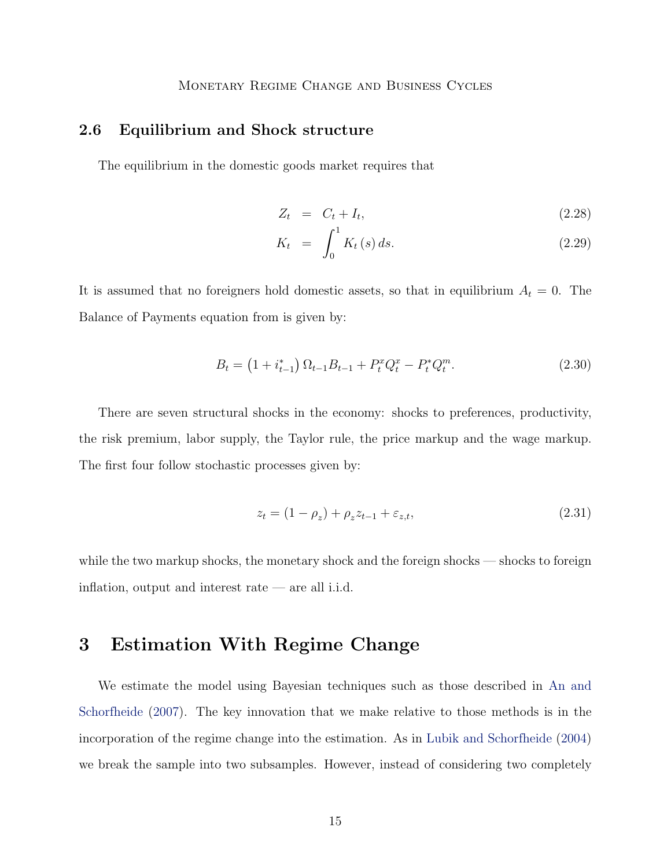### 2.6 Equilibrium and Shock structure

The equilibrium in the domestic goods market requires that

$$
Z_t = C_t + I_t, \tag{2.28}
$$

$$
K_t = \int_0^1 K_t(s) \, ds. \tag{2.29}
$$

It is assumed that no foreigners hold domestic assets, so that in equilibrium  $A_t = 0$ . The Balance of Payments equation from is given by:

$$
B_t = \left(1 + i_{t-1}^*\right) \Omega_{t-1} B_{t-1} + P_t^x Q_t^x - P_t^* Q_t^m. \tag{2.30}
$$

There are seven structural shocks in the economy: shocks to preferences, productivity, the risk premium, labor supply, the Taylor rule, the price markup and the wage markup. The first four follow stochastic processes given by:

$$
z_t = (1 - \rho_z) + \rho_z z_{t-1} + \varepsilon_{z,t},
$$
\n(2.31)

while the two markup shocks, the monetary shock and the foreign shocks — shocks to foreign inflation, output and interest rate — are all i.i.d.

## <span id="page-15-0"></span>3 Estimation With Regime Change

We estimate the model using Bayesian techniques such as those described in [An and](#page-33-7) [Schorfheide](#page-33-7) [\(2007\)](#page-33-7). The key innovation that we make relative to those methods is in the incorporation of the regime change into the estimation. As in [Lubik and Schorfheide](#page-35-3) [\(2004\)](#page-35-3) we break the sample into two subsamples. However, instead of considering two completely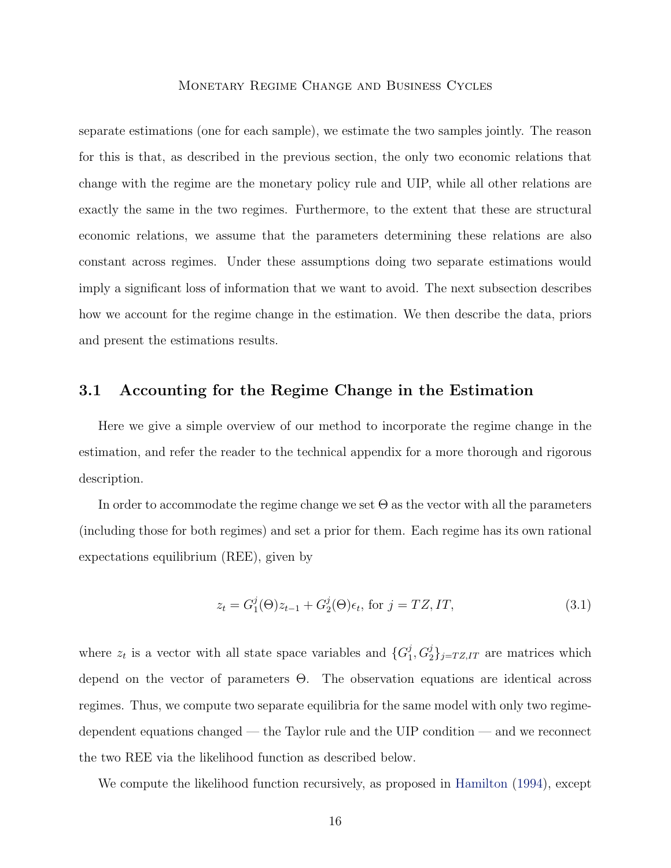separate estimations (one for each sample), we estimate the two samples jointly. The reason for this is that, as described in the previous section, the only two economic relations that change with the regime are the monetary policy rule and UIP, while all other relations are exactly the same in the two regimes. Furthermore, to the extent that these are structural economic relations, we assume that the parameters determining these relations are also constant across regimes. Under these assumptions doing two separate estimations would imply a significant loss of information that we want to avoid. The next subsection describes how we account for the regime change in the estimation. We then describe the data, priors and present the estimations results.

### 3.1 Accounting for the Regime Change in the Estimation

Here we give a simple overview of our method to incorporate the regime change in the estimation, and refer the reader to the technical appendix for a more thorough and rigorous description.

In order to accommodate the regime change we set  $\Theta$  as the vector with all the parameters (including those for both regimes) and set a prior for them. Each regime has its own rational expectations equilibrium (REE), given by

<span id="page-16-0"></span>
$$
z_t = G_1^j(\Theta)z_{t-1} + G_2^j(\Theta)\epsilon_t, \text{ for } j = TZ, IT,
$$
\n(3.1)

where  $z_t$  is a vector with all state space variables and  $\{G_1^j\}$  $\{(\mathbf{q},\mathbf{q}^j)\}_{j=TZ,IT}$  are matrices which depend on the vector of parameters Θ. The observation equations are identical across regimes. Thus, we compute two separate equilibria for the same model with only two regimedependent equations changed — the Taylor rule and the UIP condition — and we reconnect the two REE via the likelihood function as described below.

We compute the likelihood function recursively, as proposed in [Hamilton](#page-34-5) [\(1994\)](#page-34-5), except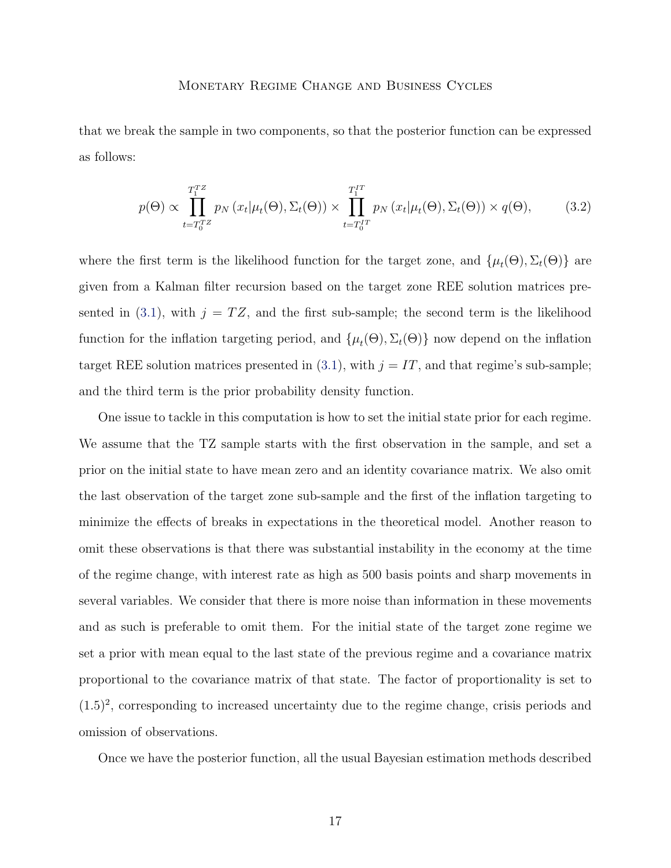that we break the sample in two components, so that the posterior function can be expressed as follows:

$$
p(\Theta) \propto \prod_{t=T_0^{TZ}}^{T_1^{TZ}} p_N(x_t | \mu_t(\Theta), \Sigma_t(\Theta)) \times \prod_{t=T_0^{IT}}^{T_1^{TT}} p_N(x_t | \mu_t(\Theta), \Sigma_t(\Theta)) \times q(\Theta), \tag{3.2}
$$

where the first term is the likelihood function for the target zone, and  $\{\mu_t(\Theta), \Sigma_t(\Theta)\}\$  are given from a Kalman filter recursion based on the target zone REE solution matrices pre-sented in [\(3.1\)](#page-16-0), with  $j = TZ$ , and the first sub-sample; the second term is the likelihood function for the inflation targeting period, and  $\{\mu_t(\Theta), \Sigma_t(\Theta)\}\$  now depend on the inflation target REE solution matrices presented in [\(3.1\)](#page-16-0), with  $j = IT$ , and that regime's sub-sample; and the third term is the prior probability density function.

One issue to tackle in this computation is how to set the initial state prior for each regime. We assume that the TZ sample starts with the first observation in the sample, and set a prior on the initial state to have mean zero and an identity covariance matrix. We also omit the last observation of the target zone sub-sample and the first of the inflation targeting to minimize the effects of breaks in expectations in the theoretical model. Another reason to omit these observations is that there was substantial instability in the economy at the time of the regime change, with interest rate as high as 500 basis points and sharp movements in several variables. We consider that there is more noise than information in these movements and as such is preferable to omit them. For the initial state of the target zone regime we set a prior with mean equal to the last state of the previous regime and a covariance matrix proportional to the covariance matrix of that state. The factor of proportionality is set to  $(1.5)^2$ , corresponding to increased uncertainty due to the regime change, crisis periods and omission of observations.

Once we have the posterior function, all the usual Bayesian estimation methods described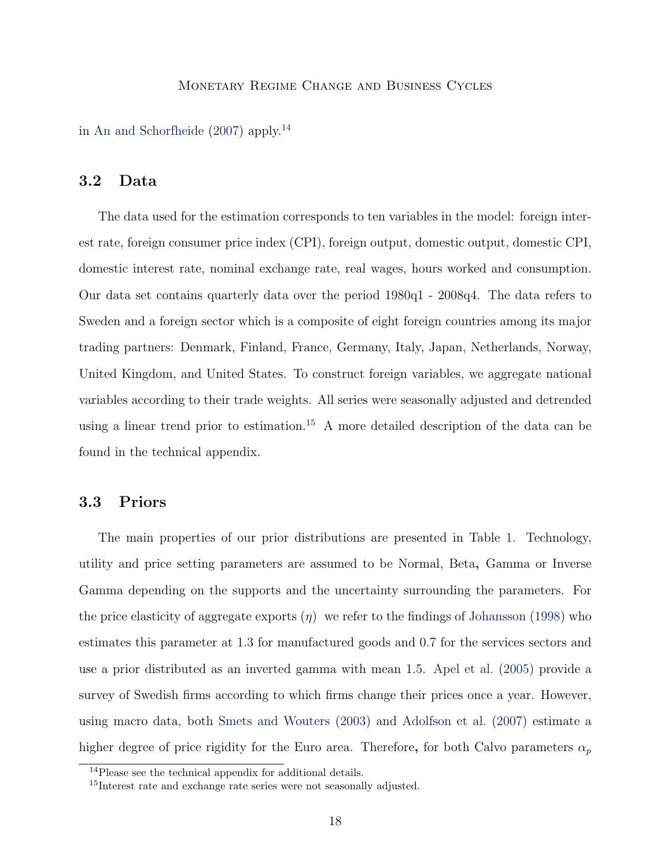### in [An and Schorfheide](#page-33-7)  $(2007)$  apply.<sup>[14](#page-18-0)</sup>

### 3.2 Data

The data used for the estimation corresponds to ten variables in the model: foreign interest rate, foreign consumer price index (CPI), foreign output, domestic output, domestic CPI, domestic interest rate, nominal exchange rate, real wages, hours worked and consumption. Our data set contains quarterly data over the period 1980q1 - 2008q4. The data refers to Sweden and a foreign sector which is a composite of eight foreign countries among its major trading partners: Denmark, Finland, France, Germany, Italy, Japan, Netherlands, Norway, United Kingdom, and United States. To construct foreign variables, we aggregate national variables according to their trade weights. All series were seasonally adjusted and detrended using a linear trend prior to estimation.<sup>[15](#page-18-1)</sup> A more detailed description of the data can be found in the technical appendix.

### 3.3 Priors

The main properties of our prior distributions are presented in Table [1.](#page-36-0) Technology, utility and price setting parameters are assumed to be Normal, Beta, Gamma or Inverse Gamma depending on the supports and the uncertainty surrounding the parameters. For the price elasticity of aggregate exports  $(\eta)$  we refer to the findings of [Johansson](#page-34-6) [\(1998\)](#page-34-6) who estimates this parameter at 1.3 for manufactured goods and 0.7 for the services sectors and use a prior distributed as an inverted gamma with mean 1.5. [Apel et al.](#page-33-8) [\(2005\)](#page-33-8) provide a survey of Swedish firms according to which firms change their prices once a year. However, using macro data, both [Smets and Wouters](#page-35-4) [\(2003\)](#page-35-4) and [Adolfson et al.](#page-33-2) [\(2007\)](#page-33-2) estimate a higher degree of price rigidity for the Euro area. Therefore, for both Calvo parameters  $\alpha_p$ 

<span id="page-18-0"></span><sup>&</sup>lt;sup>14</sup>Please see the technical appendix for additional details.

<span id="page-18-1"></span><sup>&</sup>lt;sup>15</sup>Interest rate and exchange rate series were not seasonally adjusted.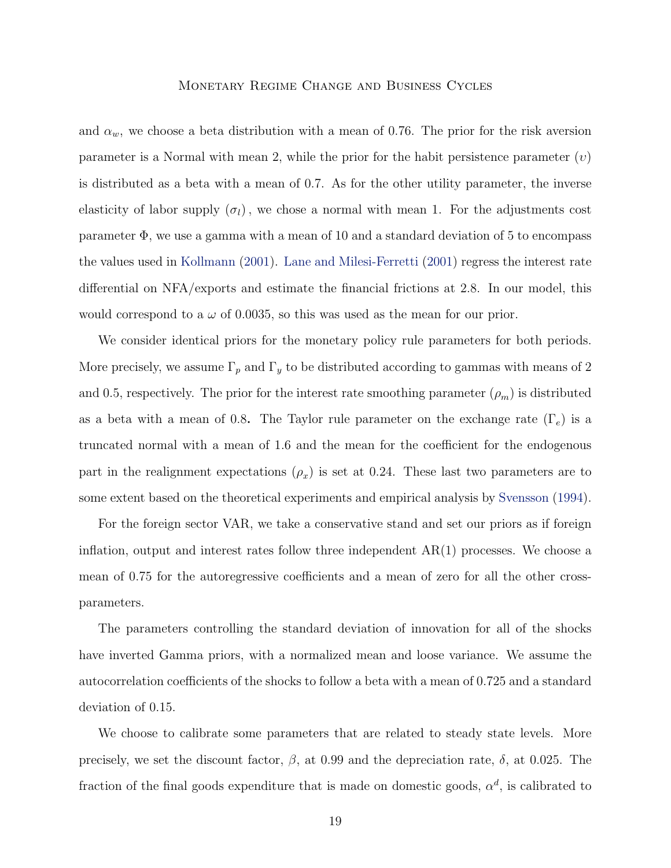and  $\alpha_w$ , we choose a beta distribution with a mean of 0.76. The prior for the risk aversion parameter is a Normal with mean 2, while the prior for the habit persistence parameter  $(v)$ is distributed as a beta with a mean of 0.7. As for the other utility parameter, the inverse elasticity of labor supply  $(\sigma_l)$ , we chose a normal with mean 1. For the adjustments cost parameter  $\Phi$ , we use a gamma with a mean of 10 and a standard deviation of 5 to encompass the values used in [Kollmann](#page-34-1) [\(2001\)](#page-34-1). [Lane and Milesi-Ferretti](#page-34-7) [\(2001\)](#page-34-7) regress the interest rate differential on NFA/exports and estimate the financial frictions at 2.8. In our model, this would correspond to a  $\omega$  of 0.0035, so this was used as the mean for our prior.

We consider identical priors for the monetary policy rule parameters for both periods. More precisely, we assume  $\Gamma_p$  and  $\Gamma_y$  to be distributed according to gammas with means of 2 and 0.5, respectively. The prior for the interest rate smoothing parameter  $(\rho_m)$  is distributed as a beta with a mean of 0.8. The Taylor rule parameter on the exchange rate  $(\Gamma_e)$  is a truncated normal with a mean of 1.6 and the mean for the coefficient for the endogenous part in the realignment expectations  $(\rho_x)$  is set at 0.24. These last two parameters are to some extent based on the theoretical experiments and empirical analysis by [Svensson](#page-35-2) [\(1994\)](#page-35-2).

For the foreign sector VAR, we take a conservative stand and set our priors as if foreign inflation, output and interest rates follow three independent  $AR(1)$  processes. We choose a mean of 0.75 for the autoregressive coefficients and a mean of zero for all the other crossparameters.

The parameters controlling the standard deviation of innovation for all of the shocks have inverted Gamma priors, with a normalized mean and loose variance. We assume the autocorrelation coefficients of the shocks to follow a beta with a mean of 0.725 and a standard deviation of 0.15.

We choose to calibrate some parameters that are related to steady state levels. More precisely, we set the discount factor,  $\beta$ , at 0.99 and the depreciation rate,  $\delta$ , at 0.025. The fraction of the final goods expenditure that is made on domestic goods,  $\alpha^d$ , is calibrated to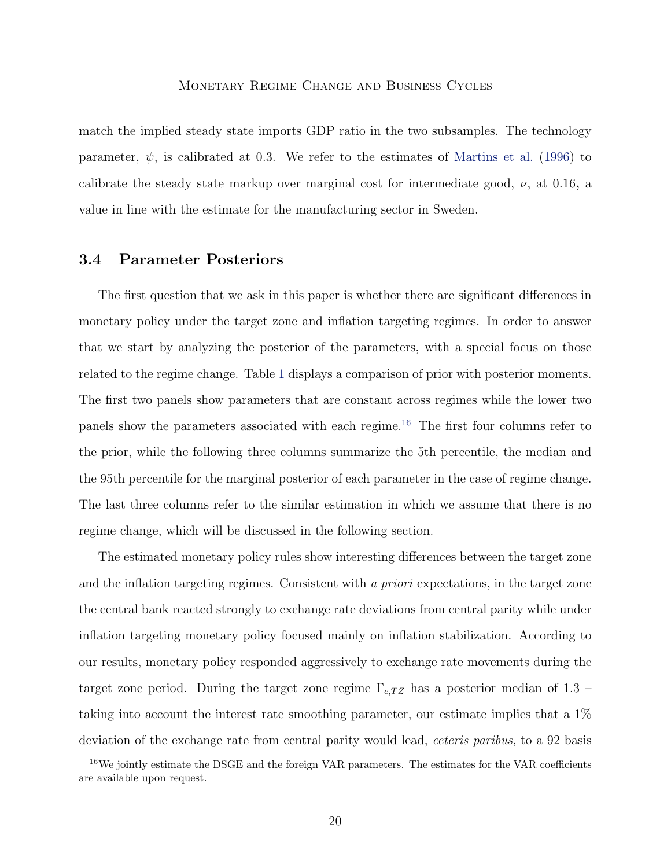match the implied steady state imports GDP ratio in the two subsamples. The technology parameter,  $\psi$ , is calibrated at 0.3. We refer to the estimates of [Martins et al.](#page-35-8) [\(1996\)](#page-35-8) to calibrate the steady state markup over marginal cost for intermediate good,  $\nu$ , at 0.16, a value in line with the estimate for the manufacturing sector in Sweden.

### 3.4 Parameter Posteriors

The first question that we ask in this paper is whether there are significant differences in monetary policy under the target zone and inflation targeting regimes. In order to answer that we start by analyzing the posterior of the parameters, with a special focus on those related to the regime change. Table [1](#page-36-0) displays a comparison of prior with posterior moments. The first two panels show parameters that are constant across regimes while the lower two panels show the parameters associated with each regime.[16](#page-20-0) The first four columns refer to the prior, while the following three columns summarize the 5th percentile, the median and the 95th percentile for the marginal posterior of each parameter in the case of regime change. The last three columns refer to the similar estimation in which we assume that there is no regime change, which will be discussed in the following section.

The estimated monetary policy rules show interesting differences between the target zone and the inflation targeting regimes. Consistent with a priori expectations, in the target zone the central bank reacted strongly to exchange rate deviations from central parity while under inflation targeting monetary policy focused mainly on inflation stabilization. According to our results, monetary policy responded aggressively to exchange rate movements during the target zone period. During the target zone regime  $\Gamma_{e,TZ}$  has a posterior median of 1.3 – taking into account the interest rate smoothing parameter, our estimate implies that a 1% deviation of the exchange rate from central parity would lead, *ceteris paribus*, to a 92 basis

<span id="page-20-0"></span> $^{16}\mathrm{We}$  jointly estimate the DSGE and the foreign VAR parameters. The estimates for the VAR coefficients are available upon request.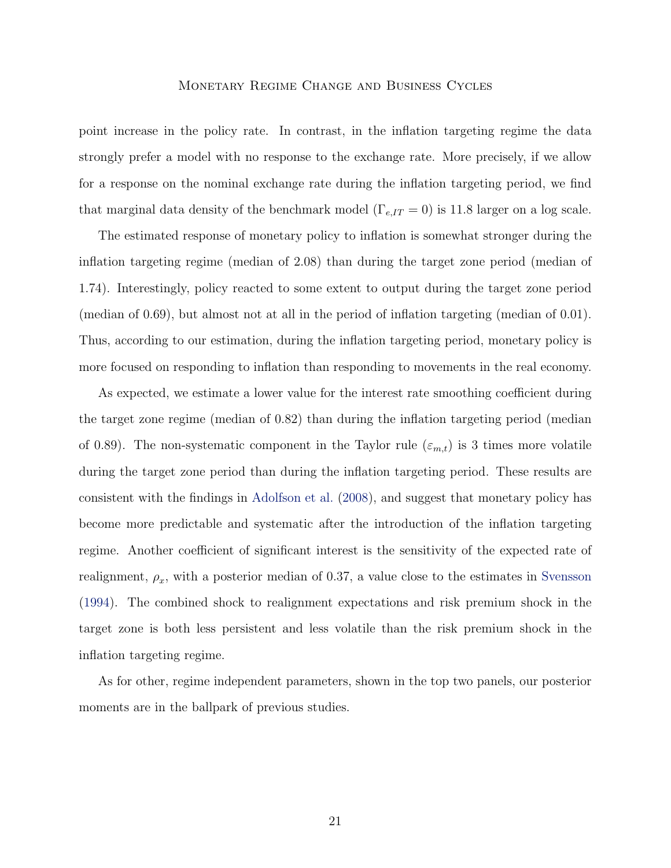point increase in the policy rate. In contrast, in the inflation targeting regime the data strongly prefer a model with no response to the exchange rate. More precisely, if we allow for a response on the nominal exchange rate during the inflation targeting period, we find that marginal data density of the benchmark model ( $\Gamma_{e,IT} = 0$ ) is 11.8 larger on a log scale.

The estimated response of monetary policy to inflation is somewhat stronger during the inflation targeting regime (median of 2.08) than during the target zone period (median of 1.74). Interestingly, policy reacted to some extent to output during the target zone period (median of 0.69), but almost not at all in the period of inflation targeting (median of 0.01). Thus, according to our estimation, during the inflation targeting period, monetary policy is more focused on responding to inflation than responding to movements in the real economy.

As expected, we estimate a lower value for the interest rate smoothing coefficient during the target zone regime (median of 0.82) than during the inflation targeting period (median of 0.89). The non-systematic component in the Taylor rule  $(\varepsilon_{m,t})$  is 3 times more volatile during the target zone period than during the inflation targeting period. These results are consistent with the findings in [Adolfson et al.](#page-33-6) [\(2008\)](#page-33-6), and suggest that monetary policy has become more predictable and systematic after the introduction of the inflation targeting regime. Another coefficient of significant interest is the sensitivity of the expected rate of realignment,  $\rho_x$ , with a posterior median of 0.37, a value close to the estimates in [Svensson](#page-35-2) [\(1994\)](#page-35-2). The combined shock to realignment expectations and risk premium shock in the target zone is both less persistent and less volatile than the risk premium shock in the inflation targeting regime.

As for other, regime independent parameters, shown in the top two panels, our posterior moments are in the ballpark of previous studies.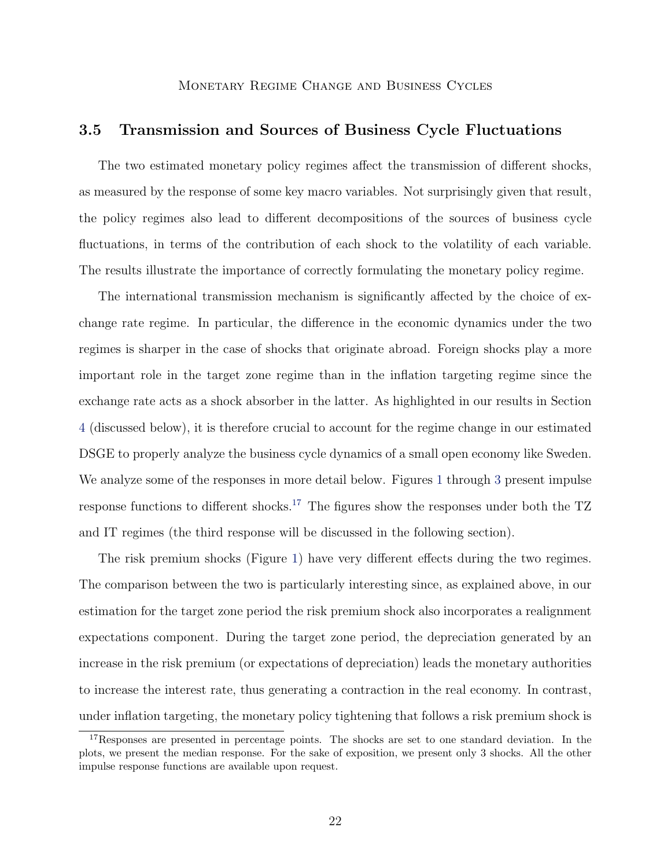### 3.5 Transmission and Sources of Business Cycle Fluctuations

The two estimated monetary policy regimes affect the transmission of different shocks, as measured by the response of some key macro variables. Not surprisingly given that result, the policy regimes also lead to different decompositions of the sources of business cycle fluctuations, in terms of the contribution of each shock to the volatility of each variable. The results illustrate the importance of correctly formulating the monetary policy regime.

The international transmission mechanism is significantly affected by the choice of exchange rate regime. In particular, the difference in the economic dynamics under the two regimes is sharper in the case of shocks that originate abroad. Foreign shocks play a more important role in the target zone regime than in the inflation targeting regime since the exchange rate acts as a shock absorber in the latter. As highlighted in our results in Section [4](#page-25-0) (discussed below), it is therefore crucial to account for the regime change in our estimated DSGE to properly analyze the business cycle dynamics of a small open economy like Sweden. We analyze some of the responses in more detail below. Figures [1](#page-41-0) through [3](#page-43-0) present impulse response functions to different shocks.<sup>[17](#page-22-0)</sup> The figures show the responses under both the TZ and IT regimes (the third response will be discussed in the following section).

The risk premium shocks (Figure [1\)](#page-41-0) have very different effects during the two regimes. The comparison between the two is particularly interesting since, as explained above, in our estimation for the target zone period the risk premium shock also incorporates a realignment expectations component. During the target zone period, the depreciation generated by an increase in the risk premium (or expectations of depreciation) leads the monetary authorities to increase the interest rate, thus generating a contraction in the real economy. In contrast, under inflation targeting, the monetary policy tightening that follows a risk premium shock is

<span id="page-22-0"></span><sup>17</sup>Responses are presented in percentage points. The shocks are set to one standard deviation. In the plots, we present the median response. For the sake of exposition, we present only 3 shocks. All the other impulse response functions are available upon request.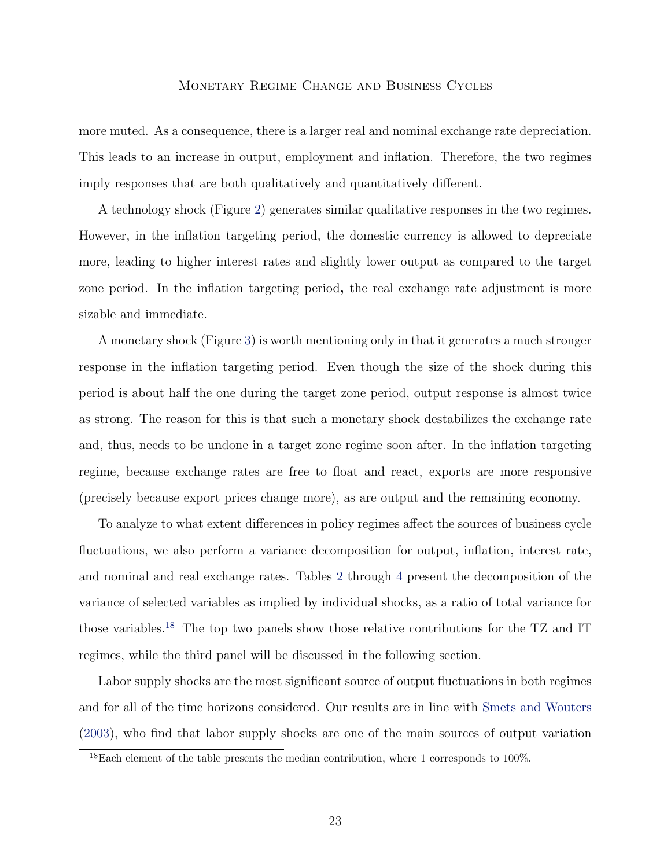more muted. As a consequence, there is a larger real and nominal exchange rate depreciation. This leads to an increase in output, employment and inflation. Therefore, the two regimes imply responses that are both qualitatively and quantitatively different.

A technology shock (Figure [2\)](#page-42-0) generates similar qualitative responses in the two regimes. However, in the inflation targeting period, the domestic currency is allowed to depreciate more, leading to higher interest rates and slightly lower output as compared to the target zone period. In the inflation targeting period, the real exchange rate adjustment is more sizable and immediate.

A monetary shock (Figure [3\)](#page-43-0) is worth mentioning only in that it generates a much stronger response in the inflation targeting period. Even though the size of the shock during this period is about half the one during the target zone period, output response is almost twice as strong. The reason for this is that such a monetary shock destabilizes the exchange rate and, thus, needs to be undone in a target zone regime soon after. In the inflation targeting regime, because exchange rates are free to float and react, exports are more responsive (precisely because export prices change more), as are output and the remaining economy.

To analyze to what extent differences in policy regimes affect the sources of business cycle fluctuations, we also perform a variance decomposition for output, inflation, interest rate, and nominal and real exchange rates. Tables [2](#page-37-0) through [4](#page-39-0) present the decomposition of the variance of selected variables as implied by individual shocks, as a ratio of total variance for those variables.[18](#page-23-0) The top two panels show those relative contributions for the TZ and IT regimes, while the third panel will be discussed in the following section.

Labor supply shocks are the most significant source of output fluctuations in both regimes and for all of the time horizons considered. Our results are in line with [Smets and Wouters](#page-35-4) [\(2003\)](#page-35-4), who find that labor supply shocks are one of the main sources of output variation

<span id="page-23-0"></span> $18$ Each element of the table presents the median contribution, where 1 corresponds to 100%.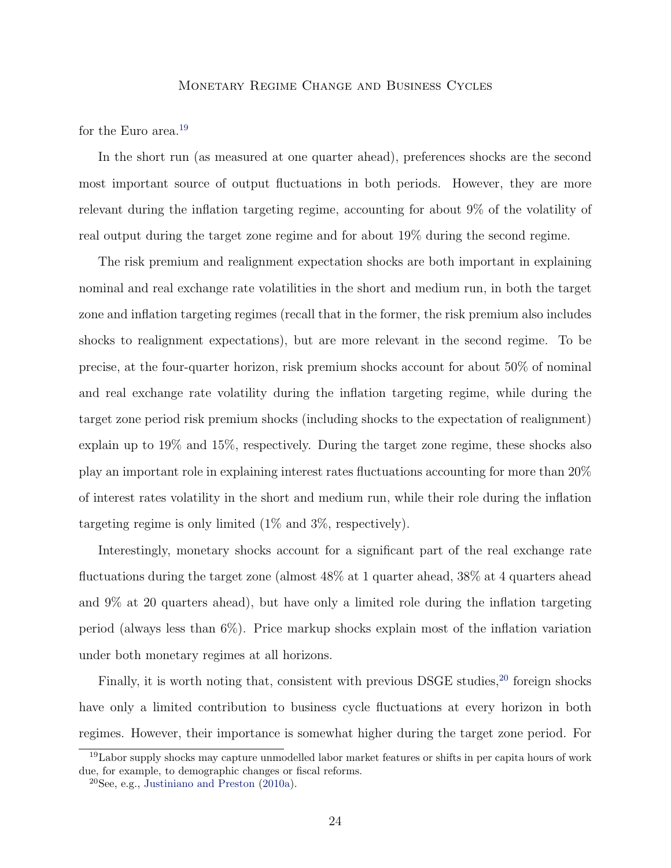for the Euro area.<sup>[19](#page-24-0)</sup>

In the short run (as measured at one quarter ahead), preferences shocks are the second most important source of output fluctuations in both periods. However, they are more relevant during the inflation targeting regime, accounting for about 9% of the volatility of real output during the target zone regime and for about 19% during the second regime.

The risk premium and realignment expectation shocks are both important in explaining nominal and real exchange rate volatilities in the short and medium run, in both the target zone and inflation targeting regimes (recall that in the former, the risk premium also includes shocks to realignment expectations), but are more relevant in the second regime. To be precise, at the four-quarter horizon, risk premium shocks account for about 50% of nominal and real exchange rate volatility during the inflation targeting regime, while during the target zone period risk premium shocks (including shocks to the expectation of realignment) explain up to 19% and 15%, respectively. During the target zone regime, these shocks also play an important role in explaining interest rates fluctuations accounting for more than 20% of interest rates volatility in the short and medium run, while their role during the inflation targeting regime is only limited (1% and 3%, respectively).

Interestingly, monetary shocks account for a significant part of the real exchange rate fluctuations during the target zone (almost 48% at 1 quarter ahead, 38% at 4 quarters ahead and 9% at 20 quarters ahead), but have only a limited role during the inflation targeting period (always less than 6%). Price markup shocks explain most of the inflation variation under both monetary regimes at all horizons.

Finally, it is worth noting that, consistent with previous DSGE studies,  $20$  foreign shocks have only a limited contribution to business cycle fluctuations at every horizon in both regimes. However, their importance is somewhat higher during the target zone period. For

<span id="page-24-0"></span><sup>19</sup>Labor supply shocks may capture unmodelled labor market features or shifts in per capita hours of work due, for example, to demographic changes or fiscal reforms.

<span id="page-24-1"></span> $20$ See, e.g., [Justiniano and Preston](#page-34-3)  $(2010a)$ .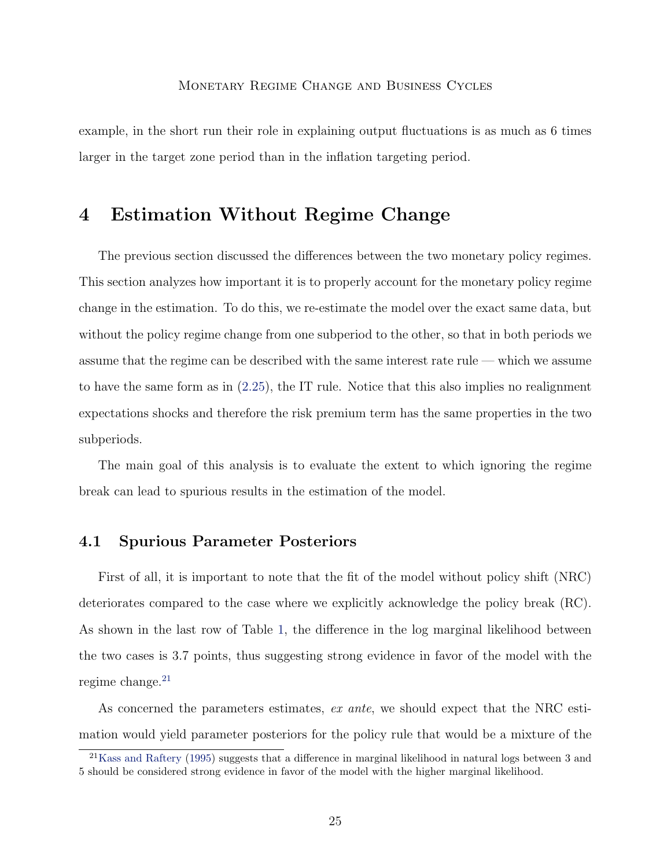example, in the short run their role in explaining output fluctuations is as much as 6 times larger in the target zone period than in the inflation targeting period.

## <span id="page-25-0"></span>4 Estimation Without Regime Change

The previous section discussed the differences between the two monetary policy regimes. This section analyzes how important it is to properly account for the monetary policy regime change in the estimation. To do this, we re-estimate the model over the exact same data, but without the policy regime change from one subperiod to the other, so that in both periods we assume that the regime can be described with the same interest rate rule — which we assume to have the same form as in [\(2.25\)](#page-14-1), the IT rule. Notice that this also implies no realignment expectations shocks and therefore the risk premium term has the same properties in the two subperiods.

The main goal of this analysis is to evaluate the extent to which ignoring the regime break can lead to spurious results in the estimation of the model.

### 4.1 Spurious Parameter Posteriors

First of all, it is important to note that the fit of the model without policy shift (NRC) deteriorates compared to the case where we explicitly acknowledge the policy break (RC). As shown in the last row of Table [1,](#page-36-0) the difference in the log marginal likelihood between the two cases is 3.7 points, thus suggesting strong evidence in favor of the model with the regime change. $^{21}$  $^{21}$  $^{21}$ 

As concerned the parameters estimates,  $ex$  ante, we should expect that the NRC estimation would yield parameter posteriors for the policy rule that would be a mixture of the

<span id="page-25-1"></span><sup>21</sup>[Kass and Raftery](#page-34-8) [\(1995\)](#page-34-8) suggests that a difference in marginal likelihood in natural logs between 3 and 5 should be considered strong evidence in favor of the model with the higher marginal likelihood.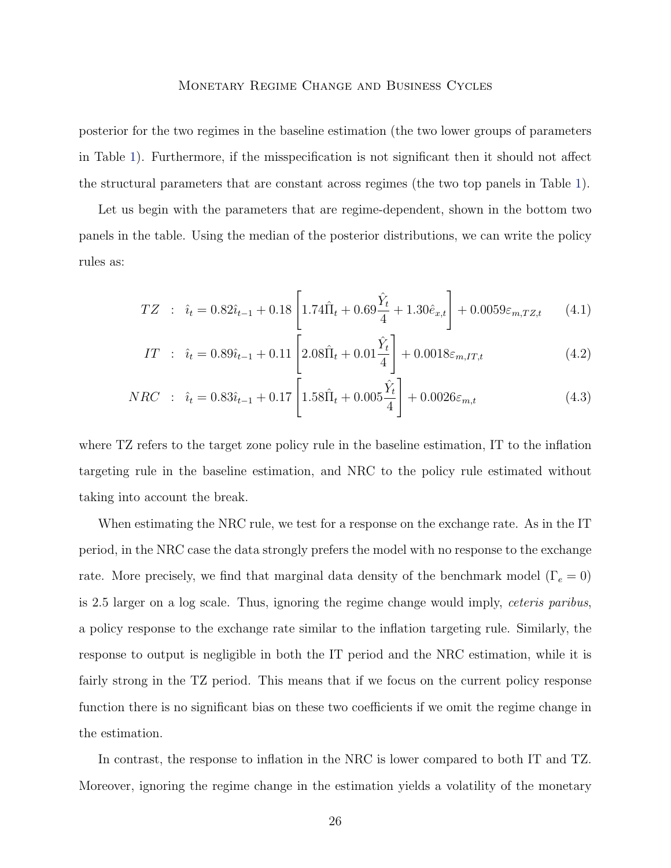posterior for the two regimes in the baseline estimation (the two lower groups of parameters in Table [1\)](#page-36-0). Furthermore, if the misspecification is not significant then it should not affect the structural parameters that are constant across regimes (the two top panels in Table [1\)](#page-36-0).

Let us begin with the parameters that are regime-dependent, shown in the bottom two panels in the table. Using the median of the posterior distributions, we can write the policy rules as:

$$
TZ \; : \; \hat{i}_t = 0.82\hat{i}_{t-1} + 0.18 \left[ 1.74\hat{\Pi}_t + 0.69\frac{\hat{Y}_t}{4} + 1.30\hat{e}_{x,t} \right] + 0.0059\epsilon_{m,TZ,t} \tag{4.1}
$$

$$
IT: \hat{i}_t = 0.89\hat{i}_{t-1} + 0.11 \left[ 2.08\hat{\Pi}_t + 0.01\frac{\hat{Y}_t}{4} \right] + 0.0018\varepsilon_{m,IT,t}
$$
 (4.2)

$$
NRC \; : \; \hat{i}_t = 0.83\hat{i}_{t-1} + 0.17 \left[ 1.58\hat{\Pi}_t + 0.005\frac{\hat{Y}_t}{4} \right] + 0.0026\varepsilon_{m,t} \tag{4.3}
$$

where TZ refers to the target zone policy rule in the baseline estimation, IT to the inflation targeting rule in the baseline estimation, and NRC to the policy rule estimated without taking into account the break.

When estimating the NRC rule, we test for a response on the exchange rate. As in the IT period, in the NRC case the data strongly prefers the model with no response to the exchange rate. More precisely, we find that marginal data density of the benchmark model ( $\Gamma_e = 0$ ) is 2.5 larger on a log scale. Thus, ignoring the regime change would imply, ceteris paribus, a policy response to the exchange rate similar to the inflation targeting rule. Similarly, the response to output is negligible in both the IT period and the NRC estimation, while it is fairly strong in the TZ period. This means that if we focus on the current policy response function there is no significant bias on these two coefficients if we omit the regime change in the estimation.

In contrast, the response to inflation in the NRC is lower compared to both IT and TZ. Moreover, ignoring the regime change in the estimation yields a volatility of the monetary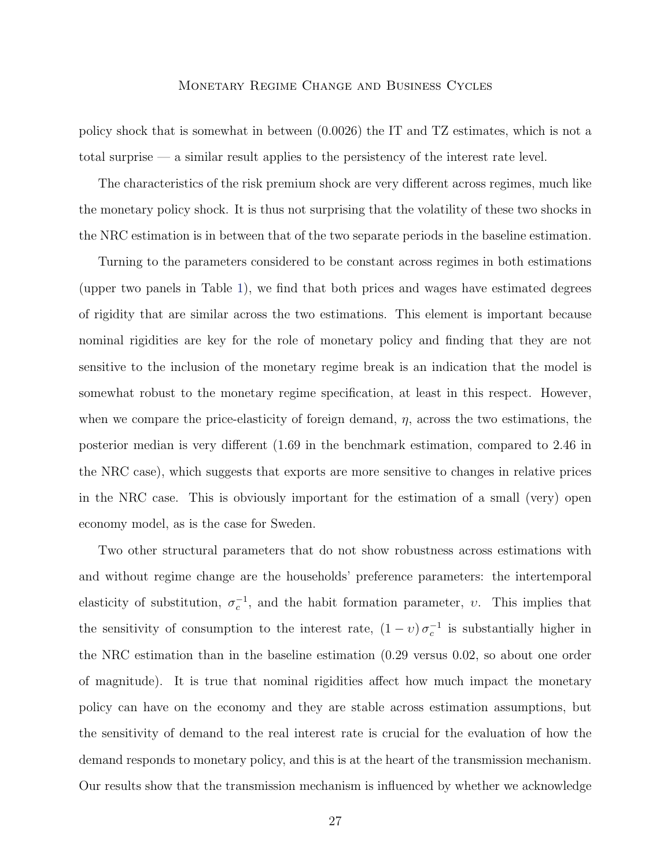policy shock that is somewhat in between (0.0026) the IT and TZ estimates, which is not a total surprise — a similar result applies to the persistency of the interest rate level.

The characteristics of the risk premium shock are very different across regimes, much like the monetary policy shock. It is thus not surprising that the volatility of these two shocks in the NRC estimation is in between that of the two separate periods in the baseline estimation.

Turning to the parameters considered to be constant across regimes in both estimations (upper two panels in Table [1\)](#page-36-0), we find that both prices and wages have estimated degrees of rigidity that are similar across the two estimations. This element is important because nominal rigidities are key for the role of monetary policy and finding that they are not sensitive to the inclusion of the monetary regime break is an indication that the model is somewhat robust to the monetary regime specification, at least in this respect. However, when we compare the price-elasticity of foreign demand,  $\eta$ , across the two estimations, the posterior median is very different (1.69 in the benchmark estimation, compared to 2.46 in the NRC case), which suggests that exports are more sensitive to changes in relative prices in the NRC case. This is obviously important for the estimation of a small (very) open economy model, as is the case for Sweden.

Two other structural parameters that do not show robustness across estimations with and without regime change are the households' preference parameters: the intertemporal elasticity of substitution,  $\sigma_c^{-1}$ , and the habit formation parameter, v. This implies that the sensitivity of consumption to the interest rate,  $(1 - v) \sigma_c^{-1}$  is substantially higher in the NRC estimation than in the baseline estimation (0.29 versus 0.02, so about one order of magnitude). It is true that nominal rigidities affect how much impact the monetary policy can have on the economy and they are stable across estimation assumptions, but the sensitivity of demand to the real interest rate is crucial for the evaluation of how the demand responds to monetary policy, and this is at the heart of the transmission mechanism. Our results show that the transmission mechanism is influenced by whether we acknowledge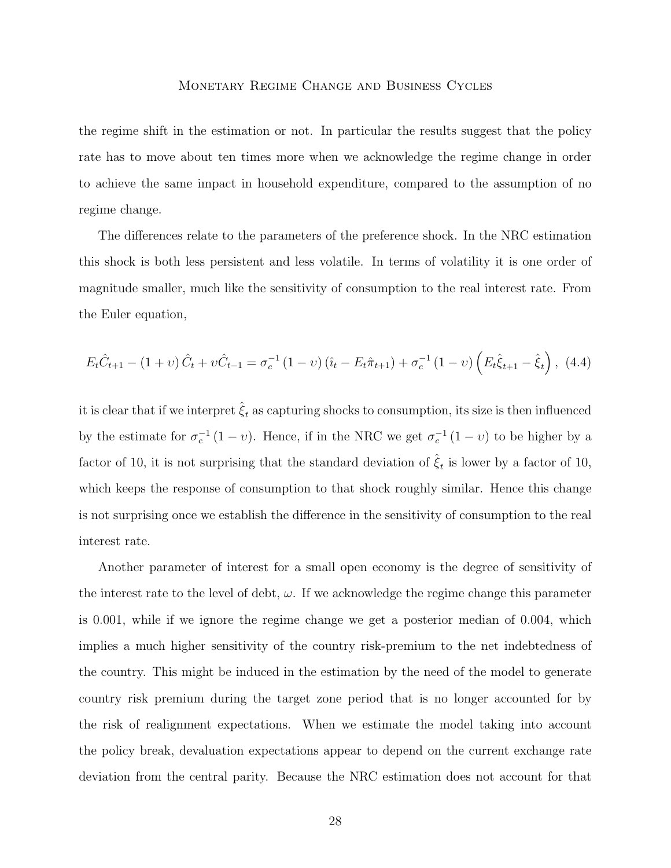the regime shift in the estimation or not. In particular the results suggest that the policy rate has to move about ten times more when we acknowledge the regime change in order to achieve the same impact in household expenditure, compared to the assumption of no regime change.

The differences relate to the parameters of the preference shock. In the NRC estimation this shock is both less persistent and less volatile. In terms of volatility it is one order of magnitude smaller, much like the sensitivity of consumption to the real interest rate. From the Euler equation,

$$
E_t \hat{C}_{t+1} - (1+v) \hat{C}_t + v \hat{C}_{t-1} = \sigma_c^{-1} (1-v) (\hat{i}_t - E_t \hat{\pi}_{t+1}) + \sigma_c^{-1} (1-v) \left( E_t \hat{\xi}_{t+1} - \hat{\xi}_t \right), (4.4)
$$

it is clear that if we interpret  $\hat{\xi}_t$  as capturing shocks to consumption, its size is then influenced by the estimate for  $\sigma_c^{-1}(1-v)$ . Hence, if in the NRC we get  $\sigma_c^{-1}(1-v)$  to be higher by a factor of 10, it is not surprising that the standard deviation of  $\hat{\xi}_t$  is lower by a factor of 10, which keeps the response of consumption to that shock roughly similar. Hence this change is not surprising once we establish the difference in the sensitivity of consumption to the real interest rate.

Another parameter of interest for a small open economy is the degree of sensitivity of the interest rate to the level of debt,  $\omega$ . If we acknowledge the regime change this parameter is 0.001, while if we ignore the regime change we get a posterior median of 0.004, which implies a much higher sensitivity of the country risk-premium to the net indebtedness of the country. This might be induced in the estimation by the need of the model to generate country risk premium during the target zone period that is no longer accounted for by the risk of realignment expectations. When we estimate the model taking into account the policy break, devaluation expectations appear to depend on the current exchange rate deviation from the central parity. Because the NRC estimation does not account for that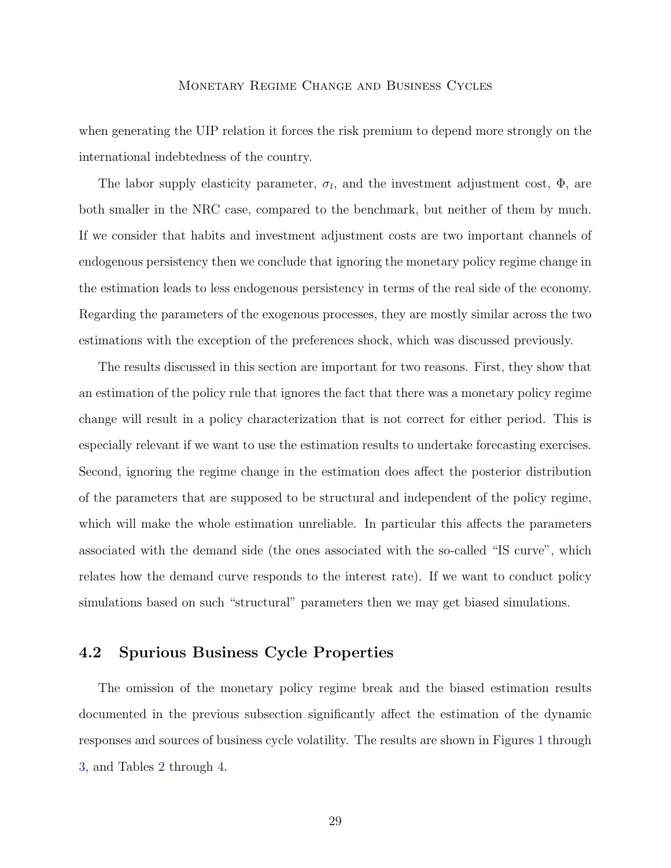when generating the UIP relation it forces the risk premium to depend more strongly on the international indebtedness of the country.

The labor supply elasticity parameter,  $\sigma_l$ , and the investment adjustment cost,  $\Phi$ , are both smaller in the NRC case, compared to the benchmark, but neither of them by much. If we consider that habits and investment adjustment costs are two important channels of endogenous persistency then we conclude that ignoring the monetary policy regime change in the estimation leads to less endogenous persistency in terms of the real side of the economy. Regarding the parameters of the exogenous processes, they are mostly similar across the two estimations with the exception of the preferences shock, which was discussed previously.

The results discussed in this section are important for two reasons. First, they show that an estimation of the policy rule that ignores the fact that there was a monetary policy regime change will result in a policy characterization that is not correct for either period. This is especially relevant if we want to use the estimation results to undertake forecasting exercises. Second, ignoring the regime change in the estimation does affect the posterior distribution of the parameters that are supposed to be structural and independent of the policy regime, which will make the whole estimation unreliable. In particular this affects the parameters associated with the demand side (the ones associated with the so-called "IS curve", which relates how the demand curve responds to the interest rate). If we want to conduct policy simulations based on such "structural" parameters then we may get biased simulations.

### 4.2 Spurious Business Cycle Properties

The omission of the monetary policy regime break and the biased estimation results documented in the previous subsection significantly affect the estimation of the dynamic responses and sources of business cycle volatility. The results are shown in Figures [1](#page-41-0) through [3,](#page-43-0) and Tables [2](#page-37-0) through [4.](#page-39-0)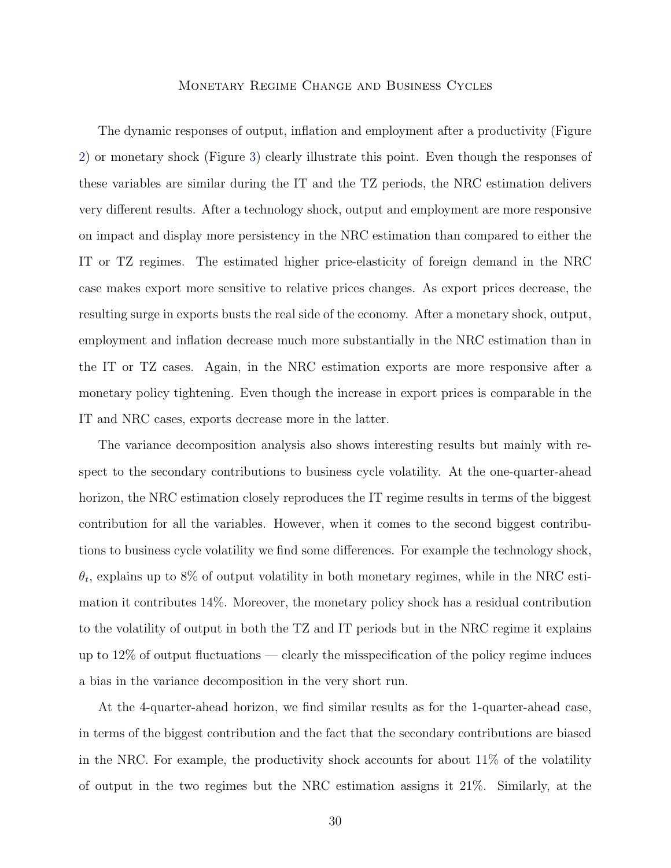The dynamic responses of output, inflation and employment after a productivity (Figure [2\)](#page-42-0) or monetary shock (Figure [3\)](#page-43-0) clearly illustrate this point. Even though the responses of these variables are similar during the IT and the TZ periods, the NRC estimation delivers very different results. After a technology shock, output and employment are more responsive on impact and display more persistency in the NRC estimation than compared to either the IT or TZ regimes. The estimated higher price-elasticity of foreign demand in the NRC case makes export more sensitive to relative prices changes. As export prices decrease, the resulting surge in exports busts the real side of the economy. After a monetary shock, output, employment and inflation decrease much more substantially in the NRC estimation than in the IT or TZ cases. Again, in the NRC estimation exports are more responsive after a monetary policy tightening. Even though the increase in export prices is comparable in the IT and NRC cases, exports decrease more in the latter.

The variance decomposition analysis also shows interesting results but mainly with respect to the secondary contributions to business cycle volatility. At the one-quarter-ahead horizon, the NRC estimation closely reproduces the IT regime results in terms of the biggest contribution for all the variables. However, when it comes to the second biggest contributions to business cycle volatility we find some differences. For example the technology shock,  $\theta_t$ , explains up to 8% of output volatility in both monetary regimes, while in the NRC estimation it contributes 14%. Moreover, the monetary policy shock has a residual contribution to the volatility of output in both the TZ and IT periods but in the NRC regime it explains up to 12% of output fluctuations — clearly the misspecification of the policy regime induces a bias in the variance decomposition in the very short run.

At the 4-quarter-ahead horizon, we find similar results as for the 1-quarter-ahead case, in terms of the biggest contribution and the fact that the secondary contributions are biased in the NRC. For example, the productivity shock accounts for about  $11\%$  of the volatility of output in the two regimes but the NRC estimation assigns it 21%. Similarly, at the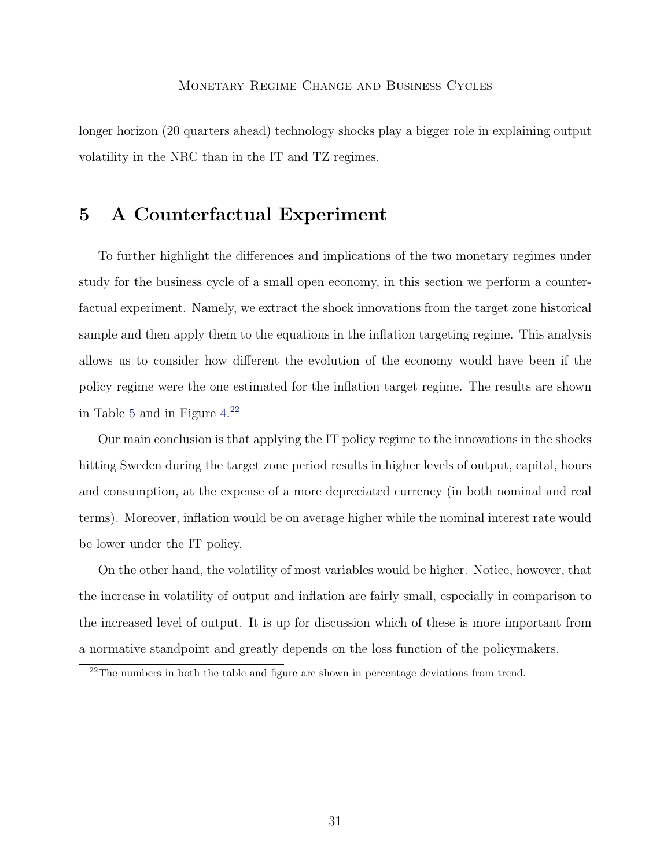longer horizon (20 quarters ahead) technology shocks play a bigger role in explaining output volatility in the NRC than in the IT and TZ regimes.

## <span id="page-31-0"></span>5 A Counterfactual Experiment

To further highlight the differences and implications of the two monetary regimes under study for the business cycle of a small open economy, in this section we perform a counterfactual experiment. Namely, we extract the shock innovations from the target zone historical sample and then apply them to the equations in the inflation targeting regime. This analysis allows us to consider how different the evolution of the economy would have been if the policy regime were the one estimated for the inflation target regime. The results are shown in Table [5](#page-40-0) and in Figure [4.](#page-44-0) [22](#page-31-1)

Our main conclusion is that applying the IT policy regime to the innovations in the shocks hitting Sweden during the target zone period results in higher levels of output, capital, hours and consumption, at the expense of a more depreciated currency (in both nominal and real terms). Moreover, inflation would be on average higher while the nominal interest rate would be lower under the IT policy.

On the other hand, the volatility of most variables would be higher. Notice, however, that the increase in volatility of output and inflation are fairly small, especially in comparison to the increased level of output. It is up for discussion which of these is more important from a normative standpoint and greatly depends on the loss function of the policymakers.

<span id="page-31-1"></span> $22$ The numbers in both the table and figure are shown in percentage deviations from trend.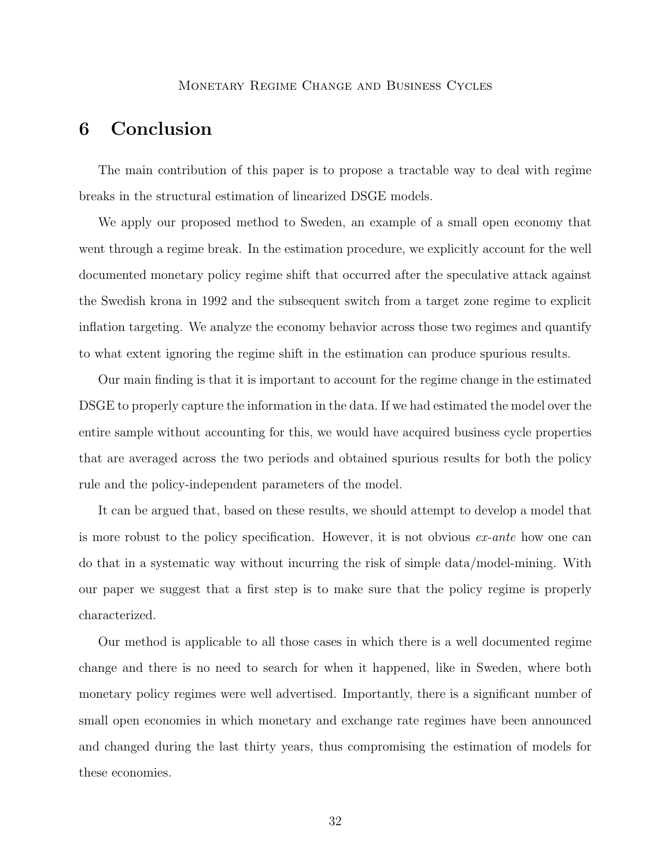## <span id="page-32-0"></span>6 Conclusion

The main contribution of this paper is to propose a tractable way to deal with regime breaks in the structural estimation of linearized DSGE models.

We apply our proposed method to Sweden, an example of a small open economy that went through a regime break. In the estimation procedure, we explicitly account for the well documented monetary policy regime shift that occurred after the speculative attack against the Swedish krona in 1992 and the subsequent switch from a target zone regime to explicit inflation targeting. We analyze the economy behavior across those two regimes and quantify to what extent ignoring the regime shift in the estimation can produce spurious results.

Our main finding is that it is important to account for the regime change in the estimated DSGE to properly capture the information in the data. If we had estimated the model over the entire sample without accounting for this, we would have acquired business cycle properties that are averaged across the two periods and obtained spurious results for both the policy rule and the policy-independent parameters of the model.

It can be argued that, based on these results, we should attempt to develop a model that is more robust to the policy specification. However, it is not obvious  $ex\text{-}ante$  how one can do that in a systematic way without incurring the risk of simple data/model-mining. With our paper we suggest that a first step is to make sure that the policy regime is properly characterized.

Our method is applicable to all those cases in which there is a well documented regime change and there is no need to search for when it happened, like in Sweden, where both monetary policy regimes were well advertised. Importantly, there is a significant number of small open economies in which monetary and exchange rate regimes have been announced and changed during the last thirty years, thus compromising the estimation of models for these economies.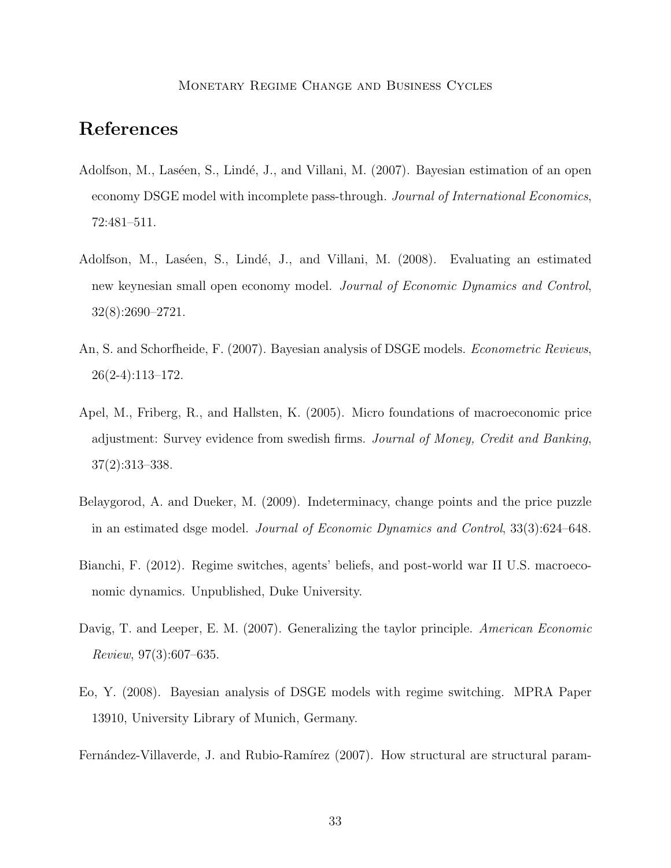## References

- <span id="page-33-2"></span>Adolfson, M., Laséen, S., Lindé, J., and Villani, M. (2007). Bayesian estimation of an open economy DSGE model with incomplete pass-through. Journal of International Economics, 72:481–511.
- <span id="page-33-6"></span>Adolfson, M., Laséen, S., Lindé, J., and Villani, M. (2008). Evaluating an estimated new keynesian small open economy model. Journal of Economic Dynamics and Control, 32(8):2690–2721.
- <span id="page-33-7"></span>An, S. and Schorfheide, F. (2007). Bayesian analysis of DSGE models. *Econometric Reviews*, 26(2-4):113–172.
- <span id="page-33-8"></span>Apel, M., Friberg, R., and Hallsten, K. (2005). Micro foundations of macroeconomic price adjustment: Survey evidence from swedish firms. Journal of Money, Credit and Banking, 37(2):313–338.
- <span id="page-33-1"></span>Belaygorod, A. and Dueker, M. (2009). Indeterminacy, change points and the price puzzle in an estimated dsge model. Journal of Economic Dynamics and Control, 33(3):624–648.
- <span id="page-33-4"></span>Bianchi, F. (2012). Regime switches, agents' beliefs, and post-world war II U.S. macroeconomic dynamics. Unpublished, Duke University.
- <span id="page-33-3"></span>Davig, T. and Leeper, E. M. (2007). Generalizing the taylor principle. American Economic Review, 97(3):607–635.
- <span id="page-33-5"></span>Eo, Y. (2008). Bayesian analysis of DSGE models with regime switching. MPRA Paper 13910, University Library of Munich, Germany.
- <span id="page-33-0"></span>Fernández-Villaverde, J. and Rubio-Ramírez (2007). How structural are structural param-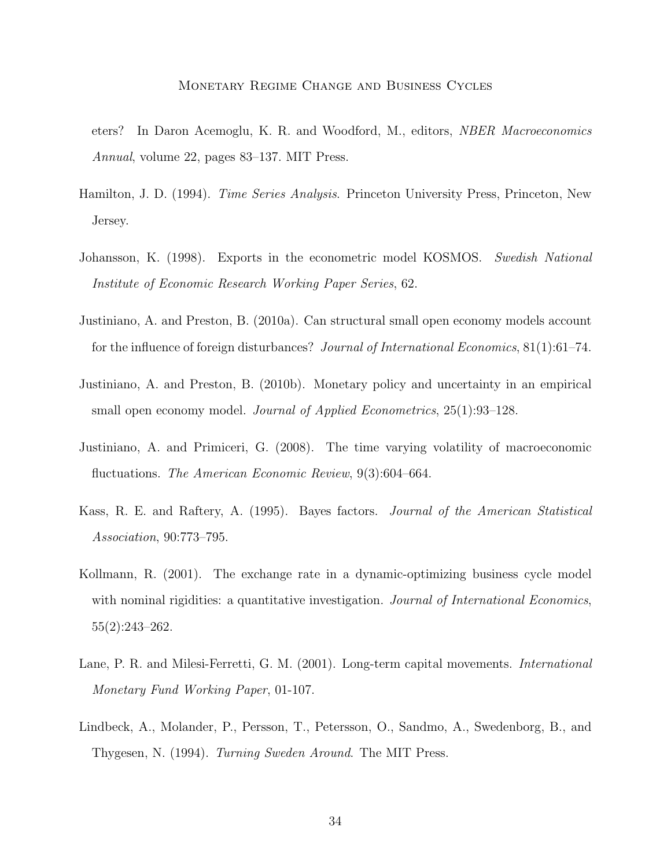- eters? In Daron Acemoglu, K. R. and Woodford, M., editors, NBER Macroeconomics Annual, volume 22, pages 83–137. MIT Press.
- <span id="page-34-5"></span>Hamilton, J. D. (1994). *Time Series Analysis*. Princeton University Press, Princeton, New Jersey.
- <span id="page-34-6"></span>Johansson, K. (1998). Exports in the econometric model KOSMOS. Swedish National Institute of Economic Research Working Paper Series, 62.
- <span id="page-34-3"></span>Justiniano, A. and Preston, B. (2010a). Can structural small open economy models account for the influence of foreign disturbances? Journal of International Economics, 81(1):61–74.
- <span id="page-34-4"></span>Justiniano, A. and Preston, B. (2010b). Monetary policy and uncertainty in an empirical small open economy model. *Journal of Applied Econometrics*, 25(1):93–128.
- <span id="page-34-2"></span>Justiniano, A. and Primiceri, G. (2008). The time varying volatility of macroeconomic fluctuations. The American Economic Review, 9(3):604–664.
- <span id="page-34-8"></span>Kass, R. E. and Raftery, A. (1995). Bayes factors. Journal of the American Statistical Association, 90:773–795.
- <span id="page-34-1"></span>Kollmann, R. (2001). The exchange rate in a dynamic-optimizing business cycle model with nominal rigidities: a quantitative investigation. *Journal of International Economics*, 55(2):243–262.
- <span id="page-34-7"></span>Lane, P. R. and Milesi-Ferretti, G. M. (2001). Long-term capital movements. *International* Monetary Fund Working Paper, 01-107.
- <span id="page-34-0"></span>Lindbeck, A., Molander, P., Persson, T., Petersson, O., Sandmo, A., Swedenborg, B., and Thygesen, N. (1994). Turning Sweden Around. The MIT Press.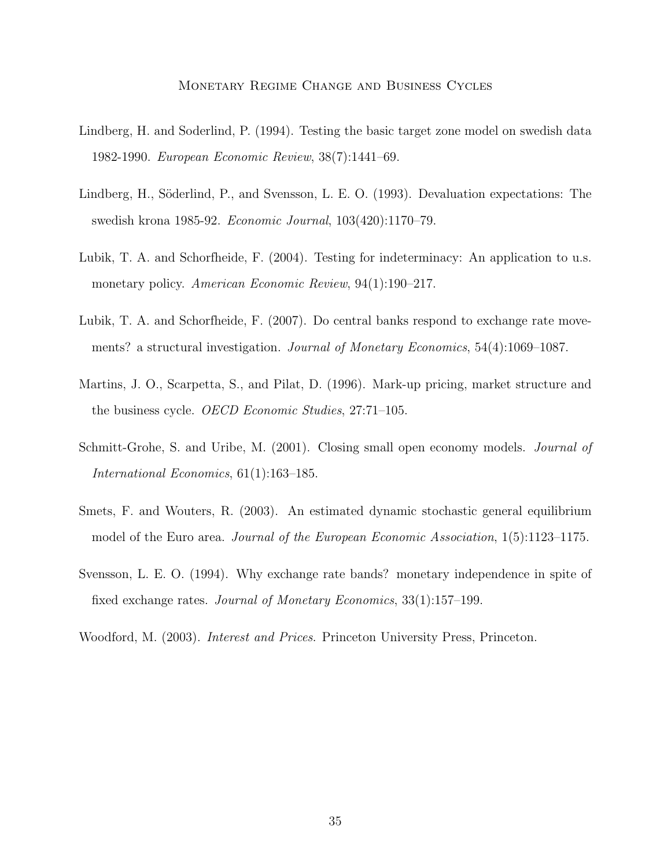- <span id="page-35-1"></span>Lindberg, H. and Soderlind, P. (1994). Testing the basic target zone model on swedish data 1982-1990. European Economic Review, 38(7):1441–69.
- <span id="page-35-0"></span>Lindberg, H., Söderlind, P., and Svensson, L. E. O. (1993). Devaluation expectations: The swedish krona 1985-92. Economic Journal, 103(420):1170–79.
- <span id="page-35-3"></span>Lubik, T. A. and Schorfheide, F. (2004). Testing for indeterminacy: An application to u.s. monetary policy. American Economic Review, 94(1):190–217.
- <span id="page-35-5"></span>Lubik, T. A. and Schorfheide, F. (2007). Do central banks respond to exchange rate movements? a structural investigation. Journal of Monetary Economics, 54(4):1069–1087.
- <span id="page-35-8"></span>Martins, J. O., Scarpetta, S., and Pilat, D. (1996). Mark-up pricing, market structure and the business cycle. OECD Economic Studies, 27:71–105.
- <span id="page-35-6"></span>Schmitt-Grohe, S. and Uribe, M. (2001). Closing small open economy models. Journal of International Economics, 61(1):163–185.
- <span id="page-35-4"></span>Smets, F. and Wouters, R. (2003). An estimated dynamic stochastic general equilibrium model of the Euro area. Journal of the European Economic Association, 1(5):1123–1175.
- <span id="page-35-2"></span>Svensson, L. E. O. (1994). Why exchange rate bands? monetary independence in spite of fixed exchange rates. Journal of Monetary Economics, 33(1):157–199.
- <span id="page-35-7"></span>Woodford, M. (2003). *Interest and Prices*. Princeton University Press, Princeton.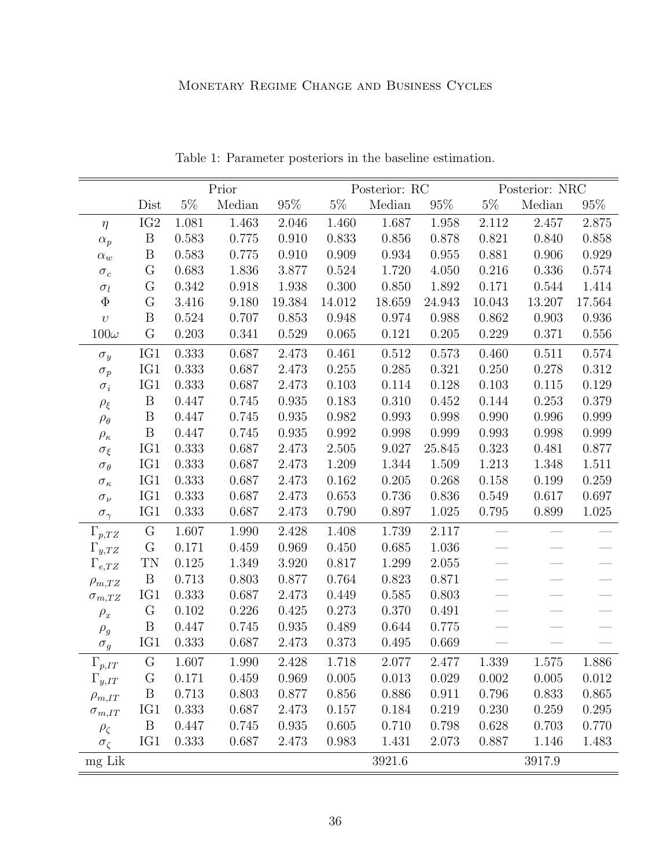<span id="page-36-0"></span>

|                   | Prior            |       |        | Posterior: RC |        |        | Posterior: NRC |        |        |        |
|-------------------|------------------|-------|--------|---------------|--------|--------|----------------|--------|--------|--------|
|                   | Dist             | $5\%$ | Median | 95%           | $5\%$  | Median | 95\%           | $5\%$  | Median | 95%    |
| $\eta$            | IG <sub>2</sub>  | 1.081 | 1.463  | 2.046         | 1.460  | 1.687  | 1.958          | 2.112  | 2.457  | 2.875  |
| $\alpha_p$        | $\boldsymbol{B}$ | 0.583 | 0.775  | 0.910         | 0.833  | 0.856  | 0.878          | 0.821  | 0.840  | 0.858  |
| $\alpha_w$        | $\boldsymbol{B}$ | 0.583 | 0.775  | 0.910         | 0.909  | 0.934  | 0.955          | 0.881  | 0.906  | 0.929  |
| $\sigma_c$        | G                | 0.683 | 1.836  | 3.877         | 0.524  | 1.720  | 4.050          | 0.216  | 0.336  | 0.574  |
| $\sigma_l$        | G                | 0.342 | 0.918  | 1.938         | 0.300  | 0.850  | 1.892          | 0.171  | 0.544  | 1.414  |
| $\Phi$            | G                | 3.416 | 9.180  | 19.384        | 14.012 | 18.659 | 24.943         | 10.043 | 13.207 | 17.564 |
| $\upsilon$        | B                | 0.524 | 0.707  | 0.853         | 0.948  | 0.974  | 0.988          | 0.862  | 0.903  | 0.936  |
| $100\omega$       | G                | 0.203 | 0.341  | 0.529         | 0.065  | 0.121  | 0.205          | 0.229  | 0.371  | 0.556  |
| $\sigma_y$        | IG1              | 0.333 | 0.687  | 2.473         | 0.461  | 0.512  | 0.573          | 0.460  | 0.511  | 0.574  |
| $\sigma_p$        | IG1              | 0.333 | 0.687  | 2.473         | 0.255  | 0.285  | 0.321          | 0.250  | 0.278  | 0.312  |
| $\sigma_i$        | IG1              | 0.333 | 0.687  | 2.473         | 0.103  | 0.114  | 0.128          | 0.103  | 0.115  | 0.129  |
| $\rho_{\xi}$      | $\boldsymbol{B}$ | 0.447 | 0.745  | 0.935         | 0.183  | 0.310  | 0.452          | 0.144  | 0.253  | 0.379  |
| $\rho_\theta$     | Β                | 0.447 | 0.745  | 0.935         | 0.982  | 0.993  | 0.998          | 0.990  | 0.996  | 0.999  |
| $\rho_{\kappa}$   | $\, {\bf B}$     | 0.447 | 0.745  | 0.935         | 0.992  | 0.998  | 0.999          | 0.993  | 0.998  | 0.999  |
| $\sigma_{\xi}$    | IG1              | 0.333 | 0.687  | 2.473         | 2.505  | 9.027  | 25.845         | 0.323  | 0.481  | 0.877  |
| $\sigma_{\theta}$ | IG1              | 0.333 | 0.687  | 2.473         | 1.209  | 1.344  | 1.509          | 1.213  | 1.348  | 1.511  |
| $\sigma_{\kappa}$ | IG1              | 0.333 | 0.687  | 2.473         | 0.162  | 0.205  | 0.268          | 0.158  | 0.199  | 0.259  |
| $\sigma_\nu$      | IG1              | 0.333 | 0.687  | 2.473         | 0.653  | 0.736  | 0.836          | 0.549  | 0.617  | 0.697  |
| $\sigma_{\gamma}$ | IG1              | 0.333 | 0.687  | 2.473         | 0.790  | 0.897  | 1.025          | 0.795  | 0.899  | 1.025  |
| $\Gamma_{p,TZ}$   | $G\$             | 1.607 | 1.990  | 2.428         | 1.408  | 1.739  | 2.117          |        |        |        |
| $\Gamma_{y,TZ}$   | $\mathcal G$     | 0.171 | 0.459  | 0.969         | 0.450  | 0.685  | 1.036          |        |        |        |
| $\Gamma_{e,TZ}$   | TN               | 0.125 | 1.349  | 3.920         | 0.817  | 1.299  | 2.055          |        |        |        |
| $\rho_{m,TZ}$     | $\, {\bf B}$     | 0.713 | 0.803  | 0.877         | 0.764  | 0.823  | 0.871          |        |        |        |
| $\sigma_{m,TZ}$   | IG1              | 0.333 | 0.687  | 2.473         | 0.449  | 0.585  | 0.803          |        |        |        |
| $\rho_x$          | G                | 0.102 | 0.226  | 0.425         | 0.273  | 0.370  | 0.491          |        |        |        |
| $\rho_g$          | $\boldsymbol{B}$ | 0.447 | 0.745  | 0.935         | 0.489  | 0.644  | 0.775          |        |        |        |
| $\sigma_g$        | IG1              | 0.333 | 0.687  | 2.473         | 0.373  | 0.495  | 0.669          |        |        |        |
| $\Gamma_{p,IT}$   | $\mathcal G$     | 1.607 | 1.990  | 2.428         | 1.718  | 2.077  | 2.477          | 1.339  | 1.575  | 1.886  |
| $\Gamma_{y,IT}$   | G                | 0.171 | 0.459  | 0.969         | 0.005  | 0.013  | 0.029          | 0.002  | 0.005  | 0.012  |
| $\rho_{m,IT}$     | $\boldsymbol{B}$ | 0.713 | 0.803  | 0.877         | 0.856  | 0.886  | 0.911          | 0.796  | 0.833  | 0.865  |
| $\sigma_{m,IT}$   | IG1              | 0.333 | 0.687  | 2.473         | 0.157  | 0.184  | 0.219          | 0.230  | 0.259  | 0.295  |
| $\rho_\zeta$      | B                | 0.447 | 0.745  | 0.935         | 0.605  | 0.710  | 0.798          | 0.628  | 0.703  | 0.770  |
| $\sigma_{\zeta}$  | IG1              | 0.333 | 0.687  | 2.473         | 0.983  | 1.431  | 2.073          | 0.887  | 1.146  | 1.483  |
| mg Lik            |                  |       |        |               |        | 3921.6 |                |        | 3917.9 |        |

Table 1: Parameter posteriors in the baseline estimation.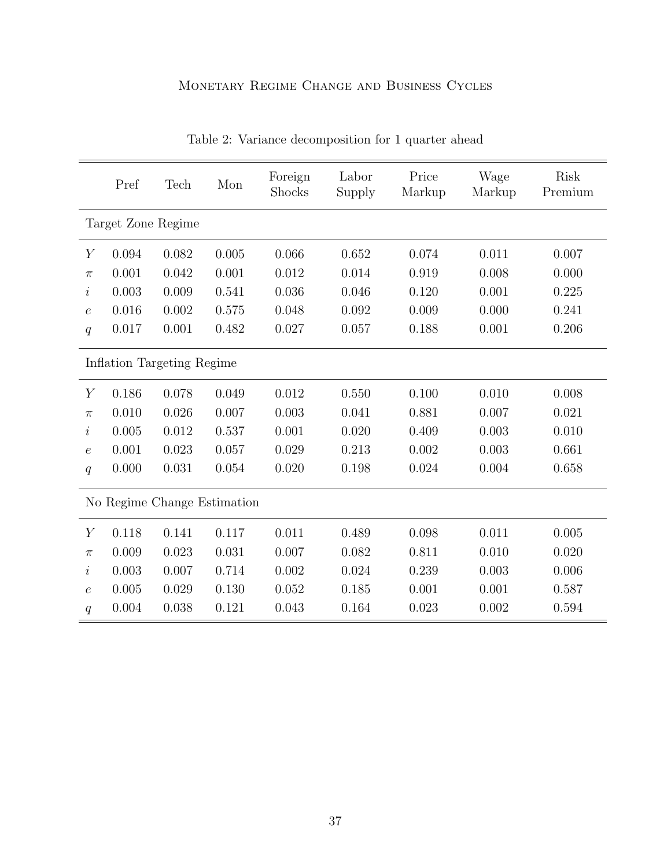<span id="page-37-0"></span>

|                             | Pref  | Tech  | Mon   | Foreign<br>Shocks | Labor<br>Supply | Price<br>Markup | Wage<br>Markup | Risk<br>Premium |  |  |
|-----------------------------|-------|-------|-------|-------------------|-----------------|-----------------|----------------|-----------------|--|--|
| Target Zone Regime          |       |       |       |                   |                 |                 |                |                 |  |  |
| $\boldsymbol{Y}$            | 0.094 | 0.082 | 0.005 | 0.066             | 0.652           | 0.074           | 0.011          | 0.007           |  |  |
| $\pi$                       | 0.001 | 0.042 | 0.001 | 0.012             | 0.014           | 0.919           | 0.008          | 0.000           |  |  |
| $\dot{\imath}$              | 0.003 | 0.009 | 0.541 | 0.036             | 0.046           | 0.120           | 0.001          | 0.225           |  |  |
| $\epsilon$                  | 0.016 | 0.002 | 0.575 | 0.048             | 0.092           | 0.009           | 0.000          | 0.241           |  |  |
| q                           | 0.017 | 0.001 | 0.482 | 0.027             | 0.057           | 0.188           | 0.001          | 0.206           |  |  |
| Inflation Targeting Regime  |       |       |       |                   |                 |                 |                |                 |  |  |
| $\overline{Y}$              | 0.186 | 0.078 | 0.049 | 0.012             | 0.550           | 0.100           | 0.010          | 0.008           |  |  |
| $\pi$                       | 0.010 | 0.026 | 0.007 | 0.003             | 0.041           | 0.881           | 0.007          | 0.021           |  |  |
| i                           | 0.005 | 0.012 | 0.537 | 0.001             | 0.020           | 0.409           | 0.003          | 0.010           |  |  |
| $\epsilon$                  | 0.001 | 0.023 | 0.057 | 0.029             | 0.213           | 0.002           | 0.003          | 0.661           |  |  |
| q                           | 0.000 | 0.031 | 0.054 | 0.020             | 0.198           | 0.024           | 0.004          | 0.658           |  |  |
| No Regime Change Estimation |       |       |       |                   |                 |                 |                |                 |  |  |
| $\boldsymbol{Y}$            | 0.118 | 0.141 | 0.117 | 0.011             | 0.489           | 0.098           | 0.011          | 0.005           |  |  |
| $\pi$                       | 0.009 | 0.023 | 0.031 | 0.007             | 0.082           | 0.811           | 0.010          | 0.020           |  |  |
| $\dot{i}$                   | 0.003 | 0.007 | 0.714 | 0.002             | 0.024           | 0.239           | 0.003          | 0.006           |  |  |
| $\epsilon$                  | 0.005 | 0.029 | 0.130 | 0.052             | 0.185           | 0.001           | 0.001          | 0.587           |  |  |
| q                           | 0.004 | 0.038 | 0.121 | 0.043             | 0.164           | 0.023           | 0.002          | 0.594           |  |  |

Table 2: Variance decomposition for 1 quarter ahead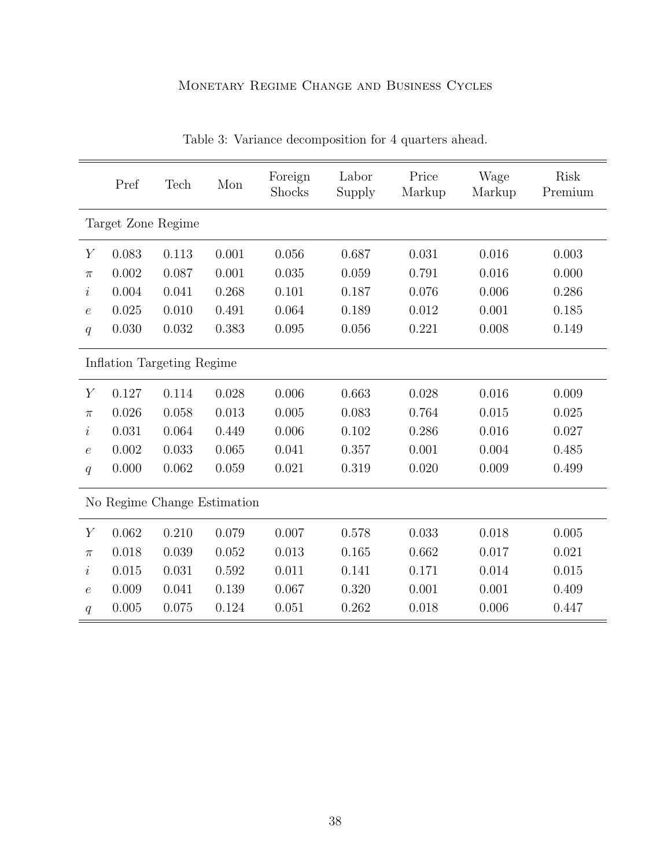|                             | Pref  | Tech                       | Mon   | Foreign<br>Shocks | Labor<br>Supply | Price<br>Markup | Wage<br>Markup | Risk<br>Premium |  |
|-----------------------------|-------|----------------------------|-------|-------------------|-----------------|-----------------|----------------|-----------------|--|
| Target Zone Regime          |       |                            |       |                   |                 |                 |                |                 |  |
| $\boldsymbol{Y}$            | 0.083 | 0.113                      | 0.001 | 0.056             | 0.687           | 0.031           | 0.016          | 0.003           |  |
| $\pi$                       | 0.002 | 0.087                      | 0.001 | 0.035             | 0.059           | 0.791           | 0.016          | 0.000           |  |
| $\dot{i}$                   | 0.004 | 0.041                      | 0.268 | 0.101             | 0.187           | 0.076           | 0.006          | 0.286           |  |
| $\epsilon$                  | 0.025 | 0.010                      | 0.491 | 0.064             | 0.189           | 0.012           | 0.001          | 0.185           |  |
| q                           | 0.030 | 0.032                      | 0.383 | 0.095             | 0.056           | 0.221           | 0.008          | 0.149           |  |
|                             |       | Inflation Targeting Regime |       |                   |                 |                 |                |                 |  |
| Y                           | 0.127 | 0.114                      | 0.028 | 0.006             | 0.663           | 0.028           | 0.016          | 0.009           |  |
| $\pi$                       | 0.026 | 0.058                      | 0.013 | 0.005             | 0.083           | 0.764           | 0.015          | 0.025           |  |
| $\dot{\imath}$              | 0.031 | 0.064                      | 0.449 | 0.006             | 0.102           | 0.286           | 0.016          | 0.027           |  |
| $\epsilon$                  | 0.002 | 0.033                      | 0.065 | 0.041             | 0.357           | 0.001           | 0.004          | 0.485           |  |
| q                           | 0.000 | 0.062                      | 0.059 | 0.021             | 0.319           | 0.020           | 0.009          | 0.499           |  |
| No Regime Change Estimation |       |                            |       |                   |                 |                 |                |                 |  |
| $\boldsymbol{Y}$            | 0.062 | 0.210                      | 0.079 | 0.007             | 0.578           | 0.033           | 0.018          | 0.005           |  |
| $\pi$                       | 0.018 | 0.039                      | 0.052 | 0.013             | 0.165           | 0.662           | 0.017          | 0.021           |  |
| $\dot{i}$                   | 0.015 | 0.031                      | 0.592 | 0.011             | 0.141           | 0.171           | 0.014          | 0.015           |  |
| $\epsilon$                  | 0.009 | 0.041                      | 0.139 | 0.067             | 0.320           | 0.001           | 0.001          | 0.409           |  |
| q                           | 0.005 | 0.075                      | 0.124 | 0.051             | 0.262           | 0.018           | 0.006          | 0.447           |  |

Table 3: Variance decomposition for 4 quarters ahead.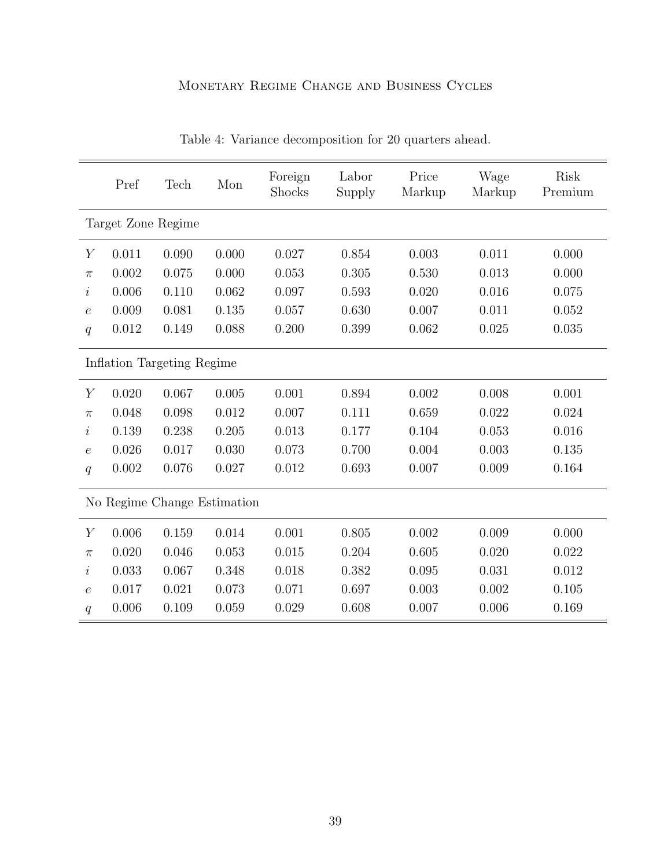<span id="page-39-0"></span>

|                             | Pref  | Tech                       | Mon   | Foreign<br>Shocks | Labor<br>Supply | Price<br>Markup | Wage<br>Markup | Risk<br>Premium |  |
|-----------------------------|-------|----------------------------|-------|-------------------|-----------------|-----------------|----------------|-----------------|--|
| Target Zone Regime          |       |                            |       |                   |                 |                 |                |                 |  |
| $\boldsymbol{Y}$            | 0.011 | 0.090                      | 0.000 | 0.027             | 0.854           | 0.003           | 0.011          | 0.000           |  |
| $\pi$                       | 0.002 | 0.075                      | 0.000 | 0.053             | 0.305           | 0.530           | 0.013          | 0.000           |  |
| $\dot{i}$                   | 0.006 | 0.110                      | 0.062 | 0.097             | 0.593           | 0.020           | 0.016          | 0.075           |  |
| $\epsilon$                  | 0.009 | 0.081                      | 0.135 | 0.057             | 0.630           | 0.007           | 0.011          | 0.052           |  |
| q                           | 0.012 | 0.149                      | 0.088 | 0.200             | 0.399           | 0.062           | 0.025          | 0.035           |  |
|                             |       | Inflation Targeting Regime |       |                   |                 |                 |                |                 |  |
| Y                           | 0.020 | 0.067                      | 0.005 | 0.001             | 0.894           | 0.002           | 0.008          | 0.001           |  |
| $\pi$                       | 0.048 | 0.098                      | 0.012 | 0.007             | 0.111           | 0.659           | 0.022          | 0.024           |  |
| i                           | 0.139 | 0.238                      | 0.205 | 0.013             | 0.177           | 0.104           | 0.053          | 0.016           |  |
| $\epsilon$                  | 0.026 | 0.017                      | 0.030 | 0.073             | 0.700           | 0.004           | 0.003          | 0.135           |  |
| q                           | 0.002 | 0.076                      | 0.027 | 0.012             | 0.693           | 0.007           | 0.009          | 0.164           |  |
| No Regime Change Estimation |       |                            |       |                   |                 |                 |                |                 |  |
| $\boldsymbol{Y}$            | 0.006 | 0.159                      | 0.014 | 0.001             | 0.805           | 0.002           | 0.009          | 0.000           |  |
| $\pi$                       | 0.020 | 0.046                      | 0.053 | 0.015             | 0.204           | 0.605           | 0.020          | 0.022           |  |
| $\dot{i}$                   | 0.033 | 0.067                      | 0.348 | 0.018             | 0.382           | 0.095           | 0.031          | 0.012           |  |
| $\epsilon$                  | 0.017 | 0.021                      | 0.073 | 0.071             | 0.697           | 0.003           | 0.002          | 0.105           |  |
| q                           | 0.006 | 0.109                      | 0.059 | 0.029             | 0.608           | 0.007           | 0.006          | 0.169           |  |

Table 4: Variance decomposition for 20 quarters ahead.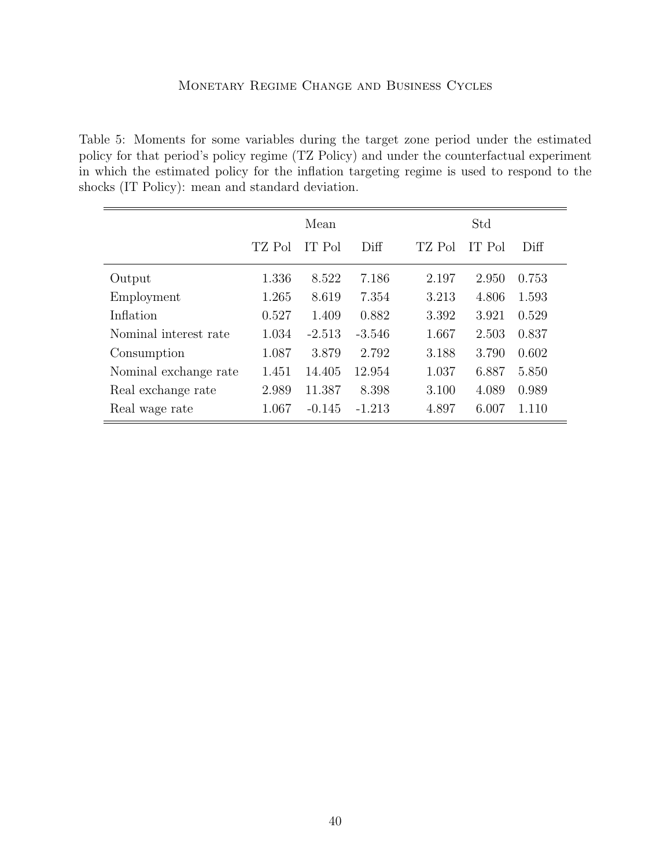<span id="page-40-0"></span>Table 5: Moments for some variables during the target zone period under the estimated policy for that period's policy regime (TZ Policy) and under the counterfactual experiment in which the estimated policy for the inflation targeting regime is used to respond to the shocks (IT Policy): mean and standard deviation.

|                       |        | Mean     |          |        | Std    |       |
|-----------------------|--------|----------|----------|--------|--------|-------|
|                       | TZ Pol | IT Pol   | Diff     | TZ Pol | IT Pol | Diff  |
| Output                | 1.336  | 8.522    | 7.186    | 2.197  | 2.950  | 0.753 |
| Employment            | 1.265  | 8.619    | 7.354    | 3.213  | 4.806  | 1.593 |
| Inflation             | 0.527  | 1.409    | 0.882    | 3.392  | 3.921  | 0.529 |
| Nominal interest rate | 1.034  | $-2.513$ | $-3.546$ | 1.667  | 2.503  | 0.837 |
| Consumption           | 1.087  | 3.879    | 2.792    | 3.188  | 3.790  | 0.602 |
| Nominal exchange rate | 1.451  | 14.405   | 12.954   | 1.037  | 6.887  | 5.850 |
| Real exchange rate    | 2.989  | 11.387   | 8.398    | 3.100  | 4.089  | 0.989 |
| Real wage rate        | 1.067  | $-0.145$ | $-1.213$ | 4.897  | 6.007  | 1.110 |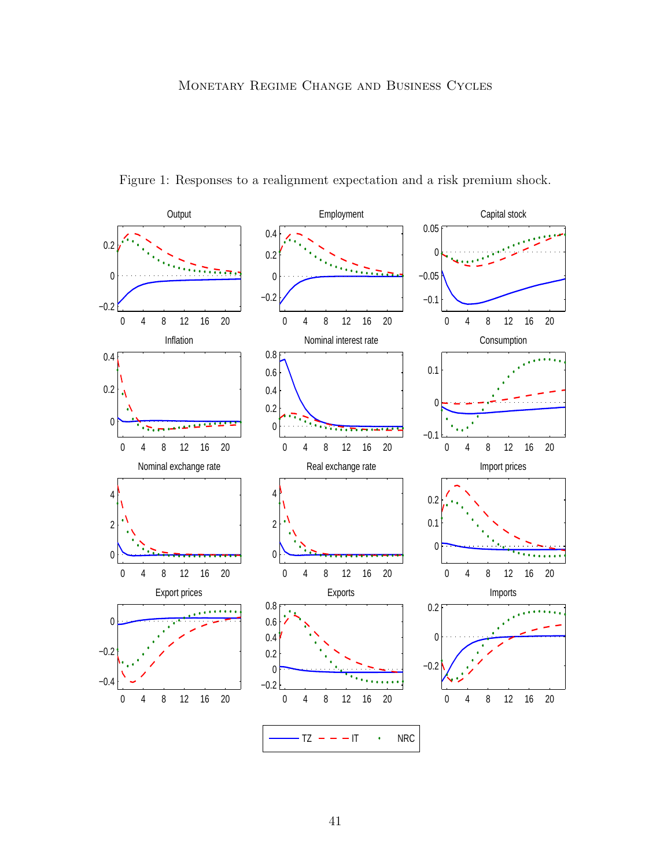<span id="page-41-0"></span>

Figure 1: Responses to a realignment expectation and a risk premium shock.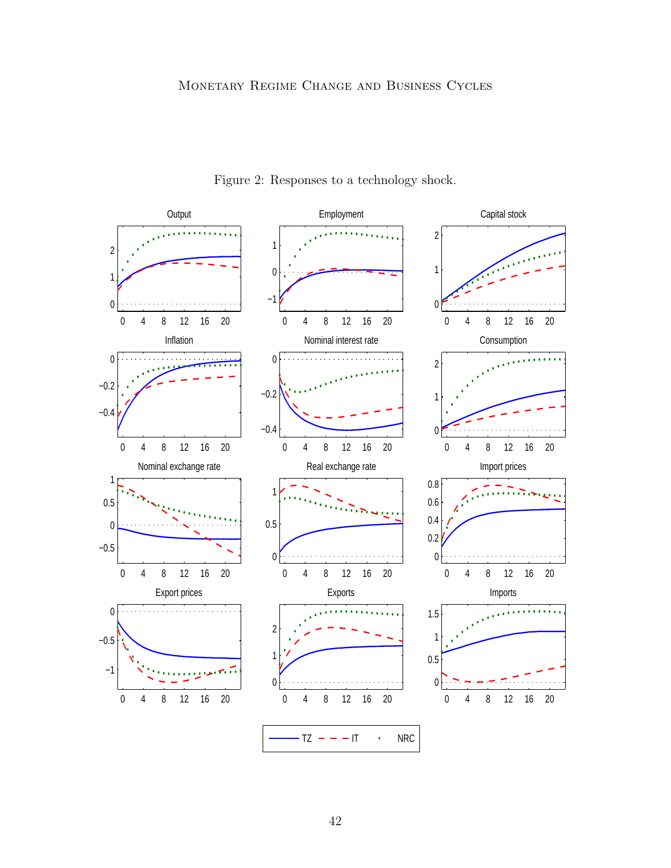<span id="page-42-0"></span>

Figure 2: Responses to a technology shock.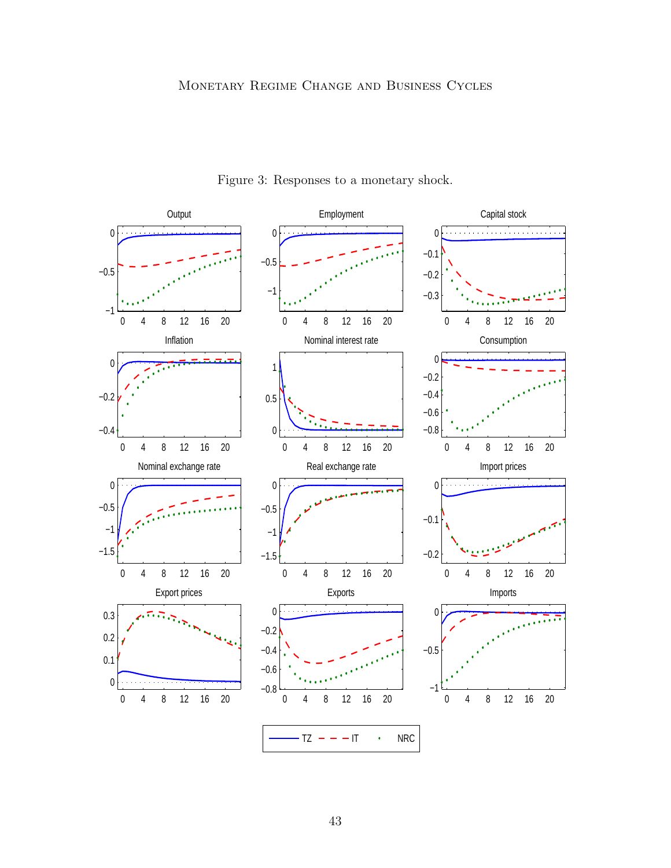<span id="page-43-0"></span>

Figure 3: Responses to a monetary shock.